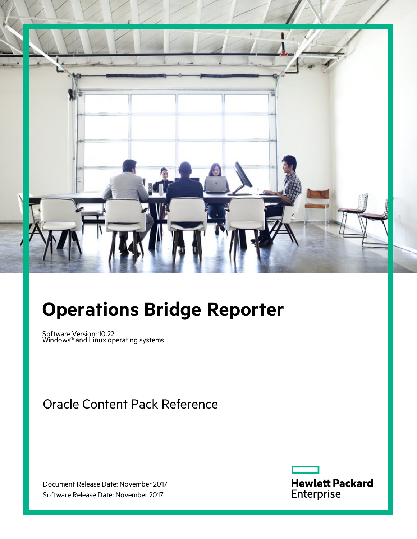

# **Operations Bridge Reporter**

Software Version: 10.22 Windows® and Linux operating systems

Oracle Content Pack Reference

Document Release Date: November 2017 Software Release Date: November 2017

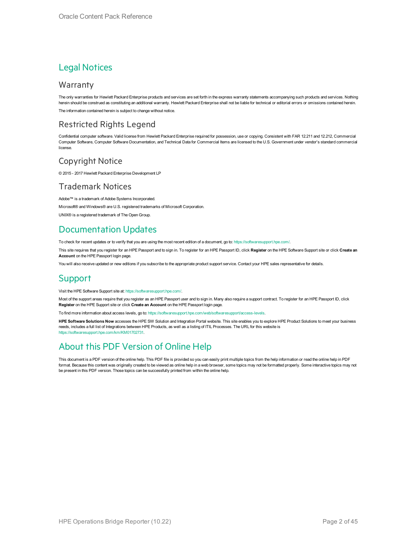#### Legal Notices

#### Warranty

The only warranties for Hewlett Packard Enterprise products and services are set forth in the express warranty statements accompanying such products and services. Nothing herein should be construed as constituting an additional warranty. Hewlett Packard Enterprise shall not be liable for technical or editorial errors or omissions contained herein. The information contained herein is subject to change without notice.

#### Restricted Rights Legend

Confidential computer software. Valid license from Hewlett Packard Enterprise required for possession, use or copying. Consistent with FAR 12.211 and 12.212, Commercial Computer Software, Computer Software Documentation, and Technical Data for Commercial Items are licensed to the U.S. Government under vendor's standard commercial license.

#### Copyright Notice

© 2015 - 2017 Hewlett Packard Enterprise Development LP

#### Trademark Notices

Adobe™ is a trademark of Adobe Systems Incorporated.

Microsoft® and Windows® are U.S. registered trademarks of Microsoft Corporation.

UNIX® is a registered trademark of The Open Group.

#### Documentation Updates

To check for recent updates or to verify that you are using the most recent edition of a document, go to: <https://softwaresupport.hpe.com/>.

This site requires that you register for an HPE Passport and to sign in. To register for an HPE Passport ID, click **Register** on the HPE Software Support site or click **Create an Account** on the HPE Passport login page.

You will also receive updated or new editions if you subscribe to the appropriate product support service. Contact your HPE sales representative for details.

#### **Support**

Visit the HPE Software Support site at: <https://softwaresupport.hpe.com/>.

Most of the support areas require that you register as an HPE Passport user and to sign in. Many also require a support contract. To register for an HPE Passport ID, click **Register** on the HPE Support site or click **Create an Account** on the HPE Passport login page.

To find more information about access levels, go to: <https://softwaresupport.hpe.com/web/softwaresupport/access-levels>.

**HPE Software Solutions Now** accesses the HPE SW Solution and Integration Portal website. This site enables you to explore HPE Product Solutions to meet your business needs, includes a full list of Integrations between HPE Products, as well as a listing of ITIL Processes. The URL for this website is [https://softwaresupport.hpe.com/km/KM01702731.](https://softwaresupport.hpe.com/km/KM01702731)

#### About this PDF Version of Online Help

This document is a PDF version of the online help. This PDF file is provided so you can easily print multiple topics from the help information or read the online help in PDF format. Because this content was originally created to be viewed as online help in a web browser, some topics may not be formatted properly. Some interactive topics may not be present in this PDF version. Those topics can be successfully printed from within the online help.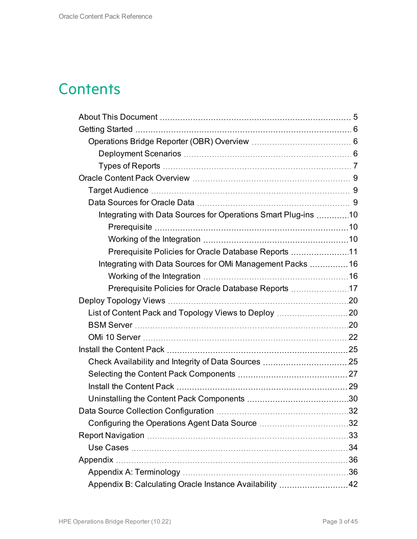# **Contents**

| Integrating with Data Sources for Operations Smart Plug-ins 10 |    |
|----------------------------------------------------------------|----|
|                                                                |    |
|                                                                |    |
| Prerequisite Policies for Oracle Database Reports 11           |    |
| Integrating with Data Sources for OMi Management Packs  16     |    |
|                                                                |    |
| Prerequisite Policies for Oracle Database Reports 17           |    |
|                                                                |    |
|                                                                |    |
|                                                                |    |
|                                                                |    |
|                                                                |    |
|                                                                |    |
|                                                                |    |
|                                                                |    |
|                                                                |    |
|                                                                |    |
|                                                                |    |
|                                                                | 33 |
|                                                                |    |
|                                                                |    |
|                                                                |    |
| Appendix B: Calculating Oracle Instance Availability  42       |    |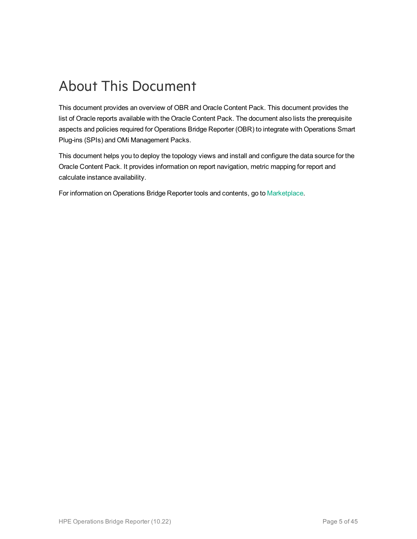# <span id="page-4-0"></span>About This Document

This document provides an overview of OBR and Oracle Content Pack. This document provides the list of Oracle reports available with the Oracle Content Pack. The document also lists the prerequisite aspects and policies required for Operations Bridge Reporter (OBR) to integrate with Operations Smart Plug-ins (SPIs) and OMi Management Packs.

This document helps you to deploy the topology views and install and configure the data source for the Oracle Content Pack. It provides information on report navigation, metric mapping for report and calculate instance availability.

For information on Operations Bridge Reporter tools and contents, go to [Marketplace.](https://marketplace.saas.hpe.com/itom/category/all?product=Operations%20Bridge%20Reporter&version=All%20versions&company=All%20companies)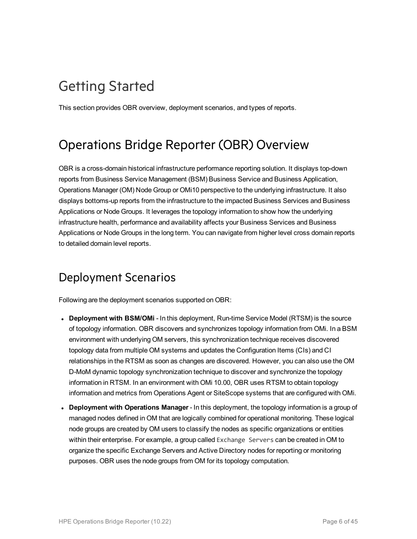# <span id="page-5-0"></span>Getting Started

<span id="page-5-1"></span>This section provides OBR overview, deployment scenarios, and types of reports.

### Operations Bridge Reporter (OBR) Overview

OBR is a cross-domain historical infrastructure performance reporting solution. It displays top-down reports from Business Service Management (BSM) Business Service and Business Application, Operations Manager (OM) Node Group or OMi10 perspective to the underlying infrastructure. It also displays bottoms-up reports from the infrastructure to the impacted Business Services and Business Applications or Node Groups. It leverages the topology information to show how the underlying infrastructure health, performance and availability affects your Business Services and Business Applications or Node Groups in the long term. You can navigate from higher level cross domain reports to detailed domain level reports.

### <span id="page-5-2"></span>Deployment Scenarios

Following are the deployment scenarios supported on OBR:

- **Deployment with BSM/OMi** In this deployment, Run-time Service Model (RTSM) is the source of topology information. OBR discovers and synchronizes topology information from OMi. In a BSM environment with underlying OM servers, this synchronization technique receives discovered topology data from multiple OM systems and updates the Configuration Items (CIs) and CI relationships in the RTSM as soon as changes are discovered. However, you can also use the OM D-MoM dynamic topology synchronization technique to discover and synchronize the topology information in RTSM. In an environment with OMi 10.00, OBR uses RTSM to obtain topology information and metrics from Operations Agent or SiteScope systems that are configured with OMi.
- <sup>l</sup> **Deployment with Operations Manager** In this deployment, the topology information is a group of managed nodes defined in OM that are logically combined for operational monitoring. These logical node groups are created by OM users to classify the nodes as specific organizations or entities within their enterprise. For example, a group called Exchange Servers can be created in OM to organize the specific Exchange Servers and Active Directory nodes for reporting or monitoring purposes. OBR uses the node groups from OM for its topology computation.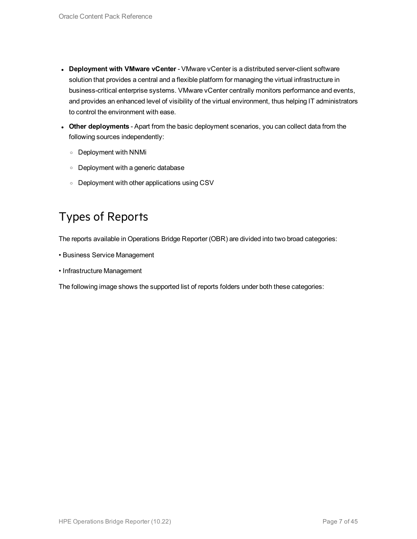- <sup>l</sup> **Deployment with VMware vCenter** VMware vCenter is a distributed server-client software solution that provides a central and a flexible platform for managing the virtual infrastructure in business-critical enterprise systems. VMware vCenter centrally monitors performance and events, and provides an enhanced level of visibility of the virtual environment, thus helping IT administrators to control the environment with ease.
- **.** Other deployments Apart from the basic deployment scenarios, you can collect data from the following sources independently:
	- <sup>o</sup> Deployment with NNMi
	- <sup>o</sup> Deployment with a generic database
	- <sup>o</sup> Deployment with other applications using CSV

### <span id="page-6-0"></span>Types of Reports

The reports available in Operations Bridge Reporter (OBR) are divided into two broad categories:

- Business Service Management
- Infrastructure Management

The following image shows the supported list of reports folders under both these categories: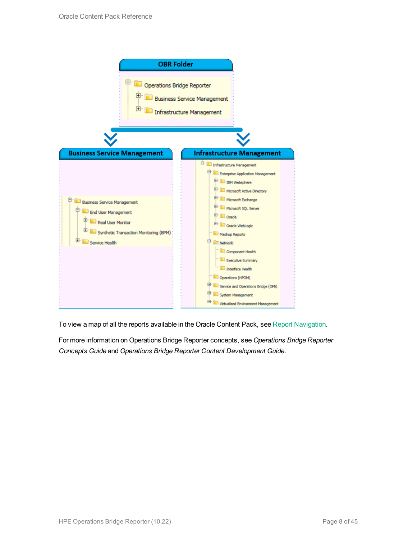

To view a map of all the reports available in the Oracle Content Pack, see Report [Navigation](#page-32-0).

For more information on Operations Bridge Reporter concepts, see *Operations Bridge Reporter Concepts Guide* and *Operations Bridge Reporter Content Development Guide*.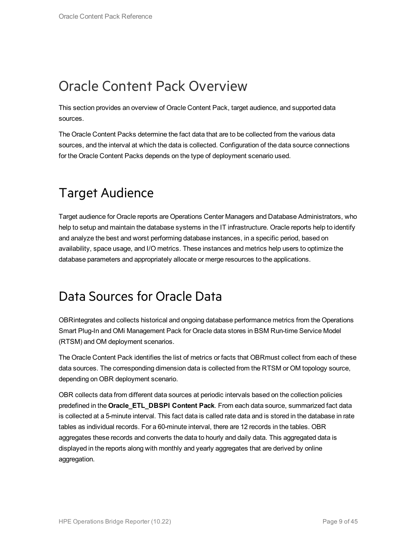## <span id="page-8-0"></span>Oracle Content Pack Overview

This section provides an overview of Oracle Content Pack, target audience, and supported data sources.

The Oracle Content Packs determine the fact data that are to be collected from the various data sources, and the interval at which the data is collected. Configuration of the data source connections for the Oracle Content Packs depends on the type of deployment scenario used.

## <span id="page-8-1"></span>Target Audience

Target audience for Oracle reports are Operations Center Managers and Database Administrators, who help to setup and maintain the database systems in the IT infrastructure. Oracle reports help to identify and analyze the best and worst performing database instances, in a specific period, based on availability, space usage, and I/O metrics. These instances and metrics help users to optimize the database parameters and appropriately allocate or merge resources to the applications.

### <span id="page-8-2"></span>Data Sources for Oracle Data

OBRintegrates and collects historical and ongoing database performance metrics from the Operations Smart Plug-In and OMi Management Pack for Oracle data stores in BSM Run-time Service Model (RTSM) and OM deployment scenarios.

The Oracle Content Pack identifies the list of metrics or facts that OBRmust collect from each of these data sources. The corresponding dimension data is collected from the RTSM or OM topology source, depending on OBR deployment scenario.

OBR collects data from different data sources at periodic intervals based on the collection policies predefined in the **Oracle\_ETL\_DBSPI Content Pack**. From each data source, summarized fact data is collected at a 5-minute interval. This fact data is called rate data and is stored in the database in rate tables as individual records. For a 60-minute interval, there are 12 records in the tables. OBR aggregates these records and converts the data to hourly and daily data. This aggregated data is displayed in the reports along with monthly and yearly aggregates that are derived by online aggregation.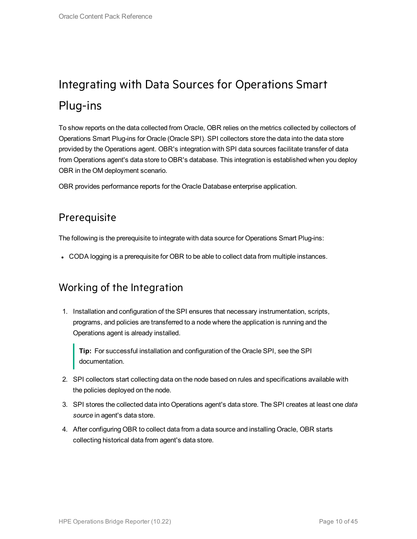# <span id="page-9-0"></span>Integrating with Data Sources for Operations Smart Plug-ins

To show reports on the data collected from Oracle, OBR relies on the metrics collected by collectors of Operations Smart Plug-ins for Oracle (Oracle SPI). SPI collectors store the data into the data store provided by the Operations agent. OBR's integration with SPI data sources facilitate transfer of data from Operations agent's data store to OBR's database. This integration is established when you deploy OBR in the OM deployment scenario.

<span id="page-9-1"></span>OBR provides performance reports for the Oracle Database enterprise application.

#### **Prerequisite**

The following is the prerequisite to integrate with data source for Operations Smart Plug-ins:

<span id="page-9-2"></span>• CODA logging is a prerequisite for OBR to be able to collect data from multiple instances.

#### Working of the Integration

1. Installation and configuration of the SPI ensures that necessary instrumentation, scripts, programs, and policies are transferred to a node where the application is running and the Operations agent is already installed.

**Tip:** For successful installation and configuration of the Oracle SPI, see the SPI documentation.

- 2. SPI collectors start collecting data on the node based on rules and specifications available with the policies deployed on the node.
- 3. SPI stores the collected data into Operations agent's data store. The SPI creates at least one *data source* in agent's data store.
- 4. After configuring OBR to collect data from a data source and installing Oracle, OBR starts collecting historical data from agent's data store.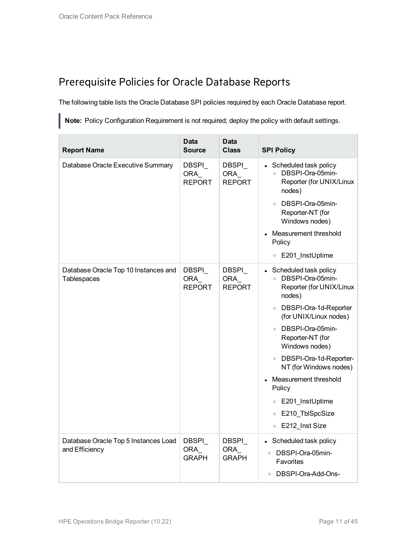#### <span id="page-10-0"></span>Prerequisite Policies for Oracle Database Reports

The following table lists the Oracle Database SPI policies required by each Oracle Database report.

**Note:** Policy Configuration Requirement is not required; deploy the policy with default settings.

| <b>Report Name</b>                                     | Data<br><b>Source</b>          | <b>Data</b><br><b>Class</b>           | <b>SPI Policy</b>                                                                            |
|--------------------------------------------------------|--------------------------------|---------------------------------------|----------------------------------------------------------------------------------------------|
| Database Oracle Executive Summary                      | DBSPI_<br>ORA<br><b>REPORT</b> | DBSPI_<br><b>ORA</b><br><b>REPORT</b> | • Scheduled task policy<br>DBSPI-Ora-05min-<br>$\circ$<br>Reporter (for UNIX/Linux<br>nodes) |
|                                                        |                                |                                       | DBSPI-Ora-05min-<br>$\circ$<br>Reporter-NT (for<br>Windows nodes)                            |
|                                                        |                                |                                       | Measurement threshold<br>Policy                                                              |
|                                                        |                                |                                       | ○ E201 InstUptime                                                                            |
| Database Oracle Top 10 Instances and<br>Tablespaces    | DBSPI_<br>ORA<br><b>REPORT</b> | DBSPI<br><b>ORA</b><br><b>REPORT</b>  | Scheduled task policy<br>DBSPI-Ora-05min-<br>$\circ$<br>Reporter (for UNIX/Linux<br>nodes)   |
|                                                        |                                |                                       | DBSPI-Ora-1d-Reporter<br>$\circ$<br>(for UNIX/Linux nodes)                                   |
|                                                        |                                |                                       | DBSPI-Ora-05min-<br>$\circ$<br>Reporter-NT (for<br>Windows nodes)                            |
|                                                        |                                |                                       | o DBSPI-Ora-1d-Reporter-<br>NT (for Windows nodes)                                           |
|                                                        |                                |                                       | Measurement threshold<br>Policy                                                              |
|                                                        |                                |                                       | E201_InstUptime<br>$\circ$                                                                   |
|                                                        |                                |                                       | E210 TblSpcSize<br>$\circ$                                                                   |
|                                                        |                                |                                       | E212_Inst Size<br>$\circ$                                                                    |
| Database Oracle Top 5 Instances Load<br>and Efficiency | DBSPI_<br>ORA<br><b>GRAPH</b>  | <b>DBSPI</b><br>ORA<br><b>GRAPH</b>   | Scheduled task policy<br>DBSPI-Ora-05min-<br>$\circ$<br>Favorites                            |
|                                                        |                                |                                       | DBSPI-Ora-Add-Ons-<br>$\circ$                                                                |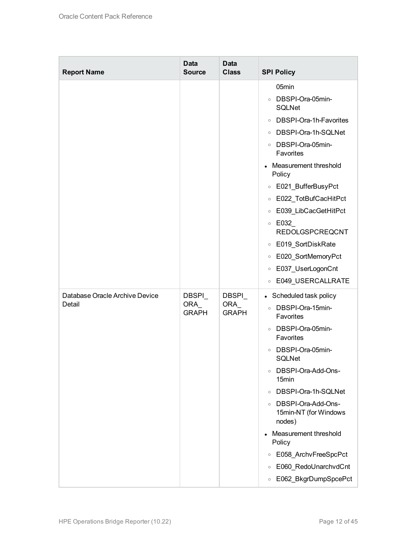| <b>Report Name</b>                       | <b>Data</b><br><b>Source</b>        | <b>Data</b><br><b>Class</b>          | <b>SPI Policy</b>                                                                                                                                                                                                                                                                                                                                                                                                                                                                    |
|------------------------------------------|-------------------------------------|--------------------------------------|--------------------------------------------------------------------------------------------------------------------------------------------------------------------------------------------------------------------------------------------------------------------------------------------------------------------------------------------------------------------------------------------------------------------------------------------------------------------------------------|
|                                          |                                     |                                      | 05min<br>DBSPI-Ora-05min-<br>$\circ$<br><b>SQLNet</b><br>DBSPI-Ora-1h-Favorites<br>$\circ$<br>○ DBSPI-Ora-1h-SQLNet<br>DBSPI-Ora-05min-<br>$\circ$<br>Favorites<br>Measurement threshold<br>Policy<br>E021_BufferBusyPct<br>$\circ$<br>E022_TotBufCacHitPct<br>$\circ$<br>E039_LibCacGetHitPct<br>$\circ$<br>$\circ$ E032<br><b>REDOLGSPCREQCNT</b><br>E019_SortDiskRate<br>$\circ$<br>E020_SortMemoryPct<br>$\circ$<br>E037_UserLogonCnt<br>$\circ$<br>E049_USERCALLRATE<br>$\circ$ |
| Database Oracle Archive Device<br>Detail | <b>DBSPI</b><br>ORA<br><b>GRAPH</b> | <b>DBSPI</b><br>ORA_<br><b>GRAPH</b> | • Scheduled task policy<br>DBSPI-Ora-15min-<br>$\circ$<br>Favorites<br>DBSPI-Ora-05min-<br>$\circ$<br>Favorites<br>DBSPI-Ora-05min-<br>$\circ$<br>SQLNet<br>DBSPI-Ora-Add-Ons-<br>$\circ$<br>15 <sub>min</sub><br>DBSPI-Ora-1h-SQLNet<br>$\circ$<br>DBSPI-Ora-Add-Ons-<br>$\circ$<br>15min-NT (for Windows<br>nodes)<br>Measurement threshold<br>Policy<br>E058_ArchvFreeSpcPct<br>$\circ$<br>E060_RedoUnarchvdCnt<br>$\circ$<br>E062_BkgrDumpSpcePct<br>$\circ$                     |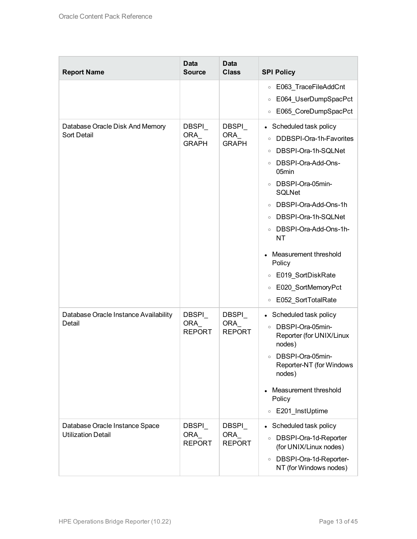| <b>Report Name</b>                                          | <b>Data</b><br><b>Source</b>         | <b>Data</b><br><b>Class</b>          | <b>SPI Policy</b>                                                                                                                                                                                                                                                                                                                                                                                                                                      |
|-------------------------------------------------------------|--------------------------------------|--------------------------------------|--------------------------------------------------------------------------------------------------------------------------------------------------------------------------------------------------------------------------------------------------------------------------------------------------------------------------------------------------------------------------------------------------------------------------------------------------------|
|                                                             |                                      |                                      | E063_TraceFileAddCnt<br>$\circ$<br>E064_UserDumpSpacPct<br>$\circ$<br>E065_CoreDumpSpacPct<br>$\circ$                                                                                                                                                                                                                                                                                                                                                  |
| Database Oracle Disk And Memory<br>Sort Detail              | DBSPI_<br>ORA<br><b>GRAPH</b>        | <b>DBSPI</b><br>ORA<br><b>GRAPH</b>  | Scheduled task policy<br>$\bullet$<br>DDBSPI-Ora-1h-Favorites<br>$\circ$<br>DBSPI-Ora-1h-SQLNet<br>$\circ$<br>DBSPI-Ora-Add-Ons-<br>$\circ$<br>05min<br>DBSPI-Ora-05min-<br>$\circ$<br><b>SQLNet</b><br>DBSPI-Ora-Add-Ons-1h<br>$\circ$<br>DBSPI-Ora-1h-SQLNet<br>$\circ$<br>○ DBSPI-Ora-Add-Ons-1h-<br><b>NT</b><br>Measurement threshold<br>Policy<br>E019_SortDiskRate<br>$\circ$<br>E020_SortMemoryPct<br>$\circ$<br>E052_SortTotalRate<br>$\circ$ |
| Database Oracle Instance Availability<br>Detail             | DBSPI<br><b>ORA</b><br><b>REPORT</b> | <b>DBSPI</b><br>ORA<br><b>REPORT</b> | Scheduled task policy<br>o DBSPI-Ora-05min-<br>Reporter (for UNIX/Linux<br>nodes)<br>DBSPI-Ora-05min-<br>$\circ$<br>Reporter-NT (for Windows<br>nodes)<br>Measurement threshold<br>Policy<br>E201 InstUptime<br>$\circ$                                                                                                                                                                                                                                |
| Database Oracle Instance Space<br><b>Utilization Detail</b> | DBSPI<br>ORA<br><b>REPORT</b>        | DBSPI_<br>ORA_<br><b>REPORT</b>      | Scheduled task policy<br>DBSPI-Ora-1d-Reporter<br>$\circ$<br>(for UNIX/Linux nodes)<br>DBSPI-Ora-1d-Reporter-<br>$\circ$<br>NT (for Windows nodes)                                                                                                                                                                                                                                                                                                     |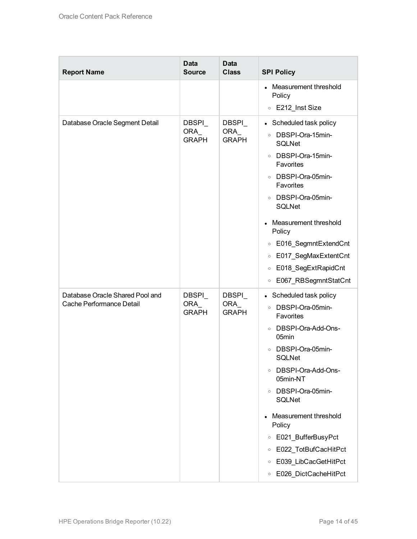| <b>Report Name</b>                                          | <b>Data</b><br><b>Source</b>   | <b>Data</b><br><b>Class</b>          | <b>SPI Policy</b>                                                                                                                                                                                                                                                                                                                                                          |
|-------------------------------------------------------------|--------------------------------|--------------------------------------|----------------------------------------------------------------------------------------------------------------------------------------------------------------------------------------------------------------------------------------------------------------------------------------------------------------------------------------------------------------------------|
|                                                             |                                |                                      | Measurement threshold<br>Policy                                                                                                                                                                                                                                                                                                                                            |
|                                                             |                                |                                      | E212_Inst Size<br>$\circ$                                                                                                                                                                                                                                                                                                                                                  |
| Database Oracle Segment Detail                              | DBSPI_<br>ORA_<br><b>GRAPH</b> | DBSPI_<br>ORA_<br><b>GRAPH</b>       | • Scheduled task policy<br>o DBSPI-Ora-15min-<br><b>SQLNet</b><br>DBSPI-Ora-15min-<br>$\circ$<br>Favorites<br>o DBSPI-Ora-05min-<br>Favorites<br>o DBSPI-Ora-05min-<br><b>SQLNet</b><br>Measurement threshold<br>Policy<br>E016_SegmntExtendCnt<br>$\circ$<br>E017_SegMaxExtentCnt<br>$\circ$<br>E018_SegExtRapidCnt<br>$\circ$<br>E067_RBSegmntStatCnt<br>$\circ$         |
| Database Oracle Shared Pool and<br>Cache Performance Detail | DBSPI_<br>ORA<br><b>GRAPH</b>  | <b>DBSPI</b><br>ORA_<br><b>GRAPH</b> | • Scheduled task policy<br>o DBSPI-Ora-05min-<br>Favorites<br>DBSPI-Ora-Add-Ons-<br>$\circ$<br>05min<br>DBSPI-Ora-05min-<br>$\circ$<br>SQLNet<br>○ DBSPI-Ora-Add-Ons-<br>05min-NT<br>○ DBSPI-Ora-05min-<br><b>SQLNet</b><br>Measurement threshold<br>Policy<br>○ E021_BufferBusyPct<br>E022_TotBufCacHitPct<br>$\circ$<br>○ E039_LibCacGetHitPct<br>○ E026_DictCacheHitPct |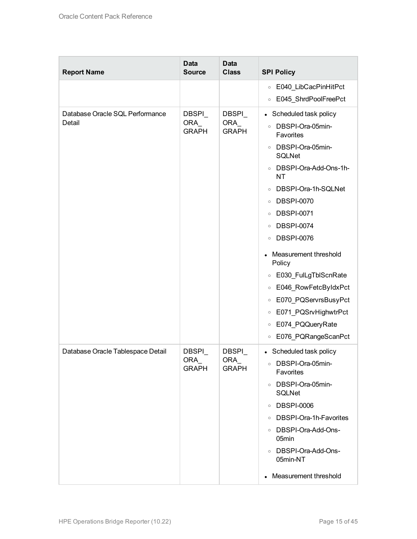| <b>Report Name</b>                        | <b>Data</b><br><b>Source</b>         | <b>Data</b><br><b>Class</b>          | <b>SPI Policy</b>                                                                                                                                                                                                                                                                                                                                                                                                                                                                                                                                                                                 |
|-------------------------------------------|--------------------------------------|--------------------------------------|---------------------------------------------------------------------------------------------------------------------------------------------------------------------------------------------------------------------------------------------------------------------------------------------------------------------------------------------------------------------------------------------------------------------------------------------------------------------------------------------------------------------------------------------------------------------------------------------------|
|                                           |                                      |                                      | E040_LibCacPinHitPct<br>$\circ$                                                                                                                                                                                                                                                                                                                                                                                                                                                                                                                                                                   |
|                                           |                                      |                                      | E045_ShrdPoolFreePct<br>$\circ$                                                                                                                                                                                                                                                                                                                                                                                                                                                                                                                                                                   |
| Database Oracle SQL Performance<br>Detail | DBSPI_<br><b>ORA</b><br><b>GRAPH</b> | DBSPI_<br><b>ORA</b><br><b>GRAPH</b> | Scheduled task policy<br>$\bullet$<br>DBSPI-Ora-05min-<br>$\circ$<br>Favorites<br>DBSPI-Ora-05min-<br>$\circ$<br><b>SQLNet</b><br>DBSPI-Ora-Add-Ons-1h-<br>$\circ$<br><b>NT</b><br>DBSPI-Ora-1h-SQLNet<br>$\circ$<br><b>DBSPI-0070</b><br>$\circ$<br><b>DBSPI-0071</b><br>$\circ$<br><b>DBSPI-0074</b><br>$\circ$<br><b>DBSPI-0076</b><br>$\circ$<br>Measurement threshold<br>Policy<br>E030_FulLgTblScnRate<br>$\circ$<br>E046_RowFetcByIdxPct<br>$\circ$<br>E070_PQServrsBusyPct<br>$\circ$<br>E071_PQSrvHighwtrPct<br>$\circ$<br>E074_PQQueryRate<br>$\circ$<br>E076_PQRangeScanPct<br>$\circ$ |
| Database Oracle Tablespace Detail         | DBSPI_<br>ORA_<br><b>GRAPH</b>       | DBSPI_<br>ORA_<br><b>GRAPH</b>       | • Scheduled task policy<br>o DBSPI-Ora-05min-<br>Favorites<br>o DBSPI-Ora-05min-<br><b>SQLNet</b><br>○ DBSPI-0006<br>○ DBSPI-Ora-1h-Favorites<br>○ DBSPI-Ora-Add-Ons-<br>05min<br>· DBSPI-Ora-Add-Ons-<br>05min-NT<br>• Measurement threshold                                                                                                                                                                                                                                                                                                                                                     |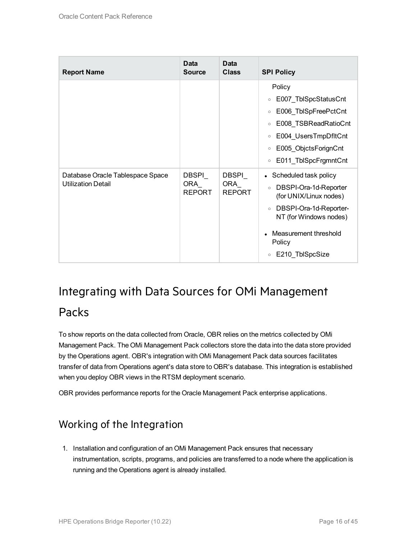| <b>Report Name</b>                                            | Data<br><b>Source</b>          | Data<br><b>Class</b>           | <b>SPI Policy</b>                                                                                                                                                                                                        |
|---------------------------------------------------------------|--------------------------------|--------------------------------|--------------------------------------------------------------------------------------------------------------------------------------------------------------------------------------------------------------------------|
|                                                               |                                |                                | Policy<br>E007_TblSpcStatusCnt<br>$\circ$<br>E006_TblSpFreePctCnt<br>$\circ$<br>E008_TSBReadRatioCnt<br>$\circ$<br>E004_UsersTmpDfltCnt<br>$\circ$<br>E005_ObjctsForignCnt<br>$\circ$<br>E011 TblSpcFrgmntCnt<br>$\circ$ |
| Database Oracle Tablespace Space<br><b>Utilization Detail</b> | DBSPI<br>ORA_<br><b>REPORT</b> | DBSPI<br>ORA_<br><b>REPORT</b> | Scheduled task policy<br>DBSPI-Ora-1d-Reporter<br>$\circ$<br>(for UNIX/Linux nodes)<br>DBSPI-Ora-1d-Reporter-<br>$\circ$<br>NT (for Windows nodes)<br>Measurement threshold<br>Policy<br>E210_TblSpcSize<br>$\circ$      |

### <span id="page-15-0"></span>Integrating with Data Sources for OMi Management

#### Packs

To show reports on the data collected from Oracle, OBR relies on the metrics collected by OMi Management Pack. The OMi Management Pack collectors store the data into the data store provided by the Operations agent. OBR's integration with OMi Management Pack data sources facilitates transfer of data from Operations agent's data store to OBR's database. This integration is established when you deploy OBR views in the RTSM deployment scenario.

<span id="page-15-1"></span>OBR provides performance reports for the Oracle Management Pack enterprise applications.

### Working of the Integration

1. Installation and configuration of an OMi Management Pack ensures that necessary instrumentation, scripts, programs, and policies are transferred to a node where the application is running and the Operations agent is already installed.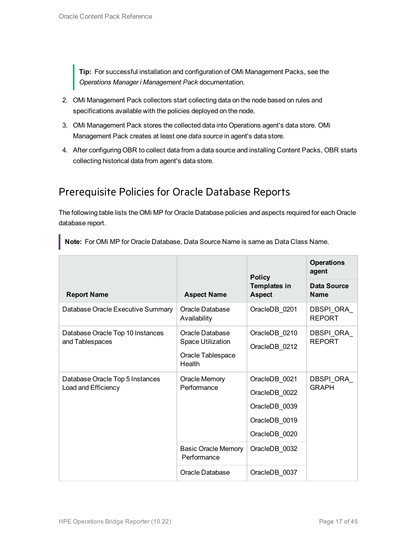**Tip:** For successful installation and configuration of OMi Management Packs, see the *Operations Manager i Management Pack* documentation.

- 2. OMi Management Pack collectors start collecting data on the node based on rules and specifications available with the policies deployed on the node.
- 3. OMi Management Pack stores the collected data into Operations agent's data store. OMi Management Pack creates at least one *data source* in agent's data store.
- 4. After configuring OBR to collect data from a data source and installing Content Packs, OBR starts collecting historical data from agent's data store.

#### <span id="page-16-0"></span>Prerequisite Policies for Oracle Database Reports

The following table lists the OMi MP for Oracle Database policies and aspects required for each Oracle database report.

|                                                        | <b>Policy</b>                                                              |                                                                                   | <b>Operations</b><br>agent |
|--------------------------------------------------------|----------------------------------------------------------------------------|-----------------------------------------------------------------------------------|----------------------------|
| <b>Report Name</b>                                     | <b>Aspect Name</b>                                                         | <b>Templates in</b><br><b>Aspect</b>                                              | Data Source<br><b>Name</b> |
| Database Oracle Executive Summary                      | Oracle Database<br>Availability                                            | OracleDB_0201                                                                     | DBSPI ORA<br><b>REPORT</b> |
| Database Oracle Top 10 Instances<br>and Tablespaces    | Oracle Database<br><b>Space Utilization</b><br>Oracle Tablespace<br>Health | OracleDB 0210<br>OracleDB_0212                                                    | DBSPI ORA<br><b>REPORT</b> |
| Database Oracle Top 5 Instances<br>Load and Efficiency | <b>Oracle Memory</b><br>Performance                                        | OracleDB 0021<br>OracleDB_0022<br>OracleDB 0039<br>OracleDB 0019<br>OracleDB 0020 | DBSPI_ORA_<br><b>GRAPH</b> |
|                                                        | <b>Basic Oracle Memory</b><br>Performance                                  | OracleDB 0032                                                                     |                            |
|                                                        | Oracle Database                                                            | OracleDB_0037                                                                     |                            |

**Note:** For OMi MP for Oracle Database, Data Source Name is same as Data Class Name.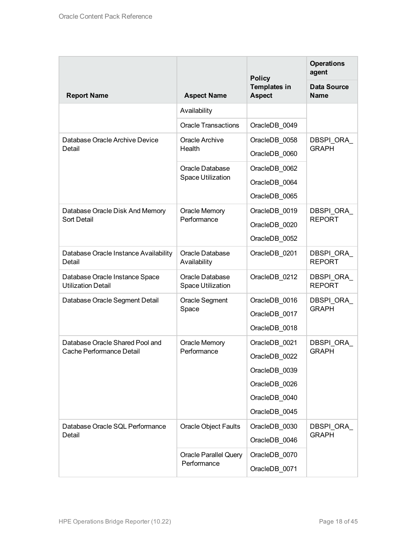|                                                             |                                             | <b>Policy</b>                        | <b>Operations</b><br>agent        |
|-------------------------------------------------------------|---------------------------------------------|--------------------------------------|-----------------------------------|
| <b>Report Name</b>                                          | <b>Aspect Name</b>                          | <b>Templates in</b><br><b>Aspect</b> | <b>Data Source</b><br><b>Name</b> |
|                                                             | Availability                                |                                      |                                   |
|                                                             | <b>Oracle Transactions</b>                  | OracleDB 0049                        |                                   |
| Database Oracle Archive Device                              | <b>Oracle Archive</b>                       | OracleDB_0058                        | DBSPI ORA                         |
| Detail                                                      | Health                                      | OracleDB 0060                        | <b>GRAPH</b>                      |
|                                                             | Oracle Database                             | OracleDB_0062                        |                                   |
|                                                             | Space Utilization                           | OracleDB_0064                        |                                   |
|                                                             |                                             | OracleDB_0065                        |                                   |
| Database Oracle Disk And Memory                             | <b>Oracle Memory</b>                        | OracleDB 0019                        | DBSPI ORA                         |
| Sort Detail                                                 | Performance                                 | OracleDB_0020                        | <b>REPORT</b>                     |
|                                                             |                                             | OracleDB_0052                        |                                   |
| Database Oracle Instance Availability<br>Detail             | Oracle Database<br>Availability             | OracleDB_0201                        | DBSPI ORA<br><b>REPORT</b>        |
| Database Oracle Instance Space<br><b>Utilization Detail</b> | Oracle Database<br><b>Space Utilization</b> | OracleDB_0212                        | DBSPI ORA<br><b>REPORT</b>        |
| Database Oracle Segment Detail                              | Oracle Segment                              | OracleDB_0016                        | DBSPI ORA                         |
|                                                             | Space                                       | OracleDB_0017                        | <b>GRAPH</b>                      |
|                                                             |                                             | OracleDB_0018                        |                                   |
| Database Oracle Shared Pool and                             | <b>Oracle Memory</b>                        | OracleDB_0021                        | DBSPI ORA                         |
| Cache Performance Detail                                    | Performance                                 | OracleDB 0022                        | <b>GRAPH</b>                      |
|                                                             |                                             | OracleDB 0039                        |                                   |
|                                                             |                                             | OracleDB_0026                        |                                   |
|                                                             |                                             | OracleDB 0040                        |                                   |
|                                                             |                                             | OracleDB 0045                        |                                   |
| Database Oracle SQL Performance                             | <b>Oracle Object Faults</b>                 | OracleDB_0030                        | DBSPI_ORA_                        |
| Detail                                                      |                                             | OracleDB_0046                        | <b>GRAPH</b>                      |
|                                                             | <b>Oracle Parallel Query</b>                | OracleDB_0070                        |                                   |
|                                                             | Performance                                 | OracleDB_0071                        |                                   |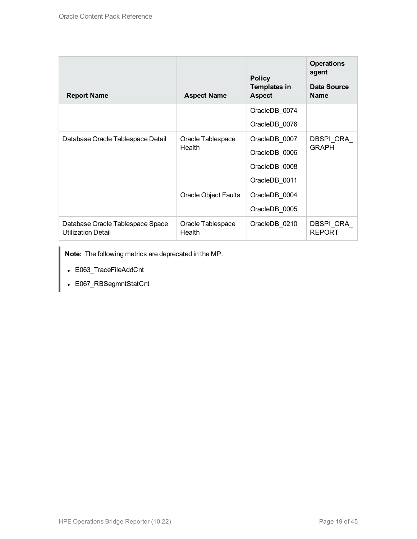|                                                               | <b>Policy</b>                                              | <b>Operations</b><br>agent |                            |
|---------------------------------------------------------------|------------------------------------------------------------|----------------------------|----------------------------|
| <b>Report Name</b>                                            | <b>Templates in</b><br><b>Aspect Name</b><br><b>Aspect</b> |                            | Data Source<br><b>Name</b> |
|                                                               |                                                            | OracleDB_0074              |                            |
|                                                               |                                                            | OracleDB_0076              |                            |
| Database Oracle Tablespace Detail                             | Oracle Tablespace<br>Health                                | OracleDB_0007              | DBSPI ORA                  |
|                                                               |                                                            | OracleDB 0006              | <b>GRAPH</b>               |
|                                                               |                                                            | OracleDB 0008              |                            |
|                                                               |                                                            | OracleDB 0011              |                            |
|                                                               | <b>Oracle Object Faults</b>                                | OracleDB_0004              |                            |
|                                                               |                                                            | OracleDB_0005              |                            |
| Database Oracle Tablespace Space<br><b>Utilization Detail</b> | Oracle Tablespace<br>Health                                | OracleDB_0210              | DBSPI ORA<br><b>REPORT</b> |

**Note:** The following metrics are deprecated in the MP:

- E063\_TraceFileAddCnt
- E067\_RBSegmntStatCnt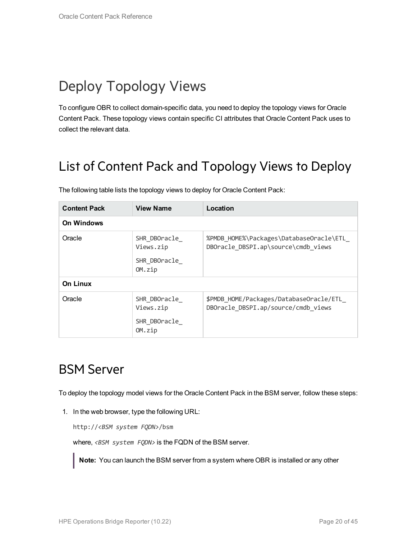# <span id="page-19-0"></span>Deploy Topology Views

To configure OBR to collect domain-specific data, you need to deploy the topology views for Oracle Content Pack. These topology views contain specific CI attributes that Oracle Content Pack uses to collect the relevant data.

## <span id="page-19-1"></span>List of Content Pack and Topology Views to Deploy

| <b>Content Pack</b> | <b>View Name</b>                                    | Location                                                                       |
|---------------------|-----------------------------------------------------|--------------------------------------------------------------------------------|
| <b>On Windows</b>   |                                                     |                                                                                |
| Oracle              | SHR DBOracle<br>Views.zip<br>SHR DBOracle<br>OM.zip | %PMDB HOME%\Packages\DatabaseOracle\ETL<br>DBOracle DBSPI.ap\source\cmdb views |
| <b>On Linux</b>     |                                                     |                                                                                |
| Oracle              | SHR DBOracle<br>Views.zip<br>SHR DBOracle<br>OM.zip | \$PMDB HOME/Packages/DatabaseOracle/ETL<br>DBOracle DBSPI.ap/source/cmdb views |

The following table lists the topology views to deploy for Oracle Content Pack:

### <span id="page-19-2"></span>BSM Server

To deploy the topology model views for the Oracle Content Pack in the BSM server, follow these steps:

1. In the web browser, type the following URL:

http://*<BSM system FQDN>*/bsm

where, <BSM system FQDN> is the FQDN of the BSM server.

**Note:** You can launch the BSM server from a system where OBR is installed or any other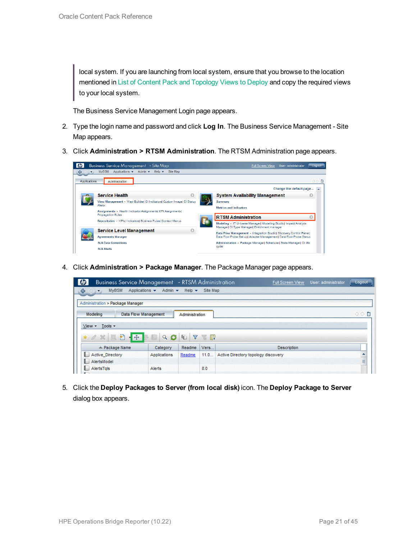local system. If you are launching from local system, ensure that you browse to the location mentioned in List of Content Pack and [Topology](#page-19-1) Views to Deploy and copy the required views to your local system.

The Business Service Management Login page appears.

- 2. Type the login name and password and click **Log In**. The Business Service Management Site Map appears.
- 3. Click **Administration > RTSM Administration**. The RTSM Administration page appears.

| $\omega$                  | Business Service Management - Site Map                                           | User: administrator<br><b>Full Screen View</b><br>Logout                                                         |  |  |  |
|---------------------------|----------------------------------------------------------------------------------|------------------------------------------------------------------------------------------------------------------|--|--|--|
| ♦<br>$\mathbf{r}$         | <b>MyBSM</b><br>Applications $\star$ Admin $\star$ Help $\star$<br>Site Map      |                                                                                                                  |  |  |  |
| Applications              | Administration                                                                   | ◁▷■                                                                                                              |  |  |  |
|                           |                                                                                  | Change the default page                                                                                          |  |  |  |
|                           | <b>Service Health</b><br>C                                                       | <b>System Availability Management</b><br>O                                                                       |  |  |  |
|                           | View Management - View Builder  CI Indicators  Custom Image  CI Status<br>Alerts | Summary                                                                                                          |  |  |  |
|                           | Assignments - Health Indicator Assignments  KPI Assignments                      | <b>Metrics and Indicators</b>                                                                                    |  |  |  |
|                           | <b>Propagation Rules</b>                                                         | <b>RTSM Administration</b>                                                                                       |  |  |  |
|                           | Repositories - KPIs  Indicators  Business Rules  Context Menus                   | Modeling - IT Universe Manager  Modeling Studio  Impact Analysis<br>Manager  CI Type Manager  Enrichment manager |  |  |  |
|                           | <b>Service Level Management</b>                                                  | Data Flow Management - Integration Studiol Discovery Control Panell                                              |  |  |  |
| <b>Agreements Manager</b> |                                                                                  | Data Flow Probe Set up  Adapter Management  Data Flow Probe Status                                               |  |  |  |
|                           | <b>SLA Data Corrections</b>                                                      | Administration - Package Manager  Scheduler  State Manager  CI life                                              |  |  |  |
|                           | <b>SLA Alerts</b>                                                                | oyde                                                                                                             |  |  |  |

4. Click **Administration > Package Manager**. The Package Manager page appears.

| <b>Business Service Management</b> - RTSM Administration |                                                    |                            |           | User: administrator<br><b>Full Screen View</b> | Logout |
|----------------------------------------------------------|----------------------------------------------------|----------------------------|-----------|------------------------------------------------|--------|
| <b>MVBSM</b><br>♦<br>$\leftrightarrow$                   | Applications $\blacktriangledown$<br>Admin $\star$ | Help $\blacktriangleright$ | Site Map  |                                                |        |
| Administration > Package Manager                         |                                                    |                            |           |                                                |        |
| Modeling                                                 | <b>Data Flow Management</b>                        | Administration             |           |                                                | ○○■    |
| Tools -<br>$View -$                                      |                                                    |                            |           |                                                |        |
| 豣<br>$-1.5$<br>$*$ $\alpha$                              | Q                                                  | Y<br>4                     | <b>TE</b> |                                                |        |
| ≐ Package Name                                           | Category                                           | Readme                     | Vers      | <b>Description</b>                             |        |
| <b>Active Directory</b><br>a s                           | Applications                                       | Readme                     | 11.0      | Active Directory topology discovery            | ۸      |
| AlertsModel<br>в.                                        |                                                    |                            |           |                                                | ī      |
| L.<br>AlertsTals                                         | Alerts                                             |                            | 8.0       |                                                |        |

5. Click the **Deploy Packages to Server (from local disk)** icon. The **Deploy Package to Server** dialog box appears.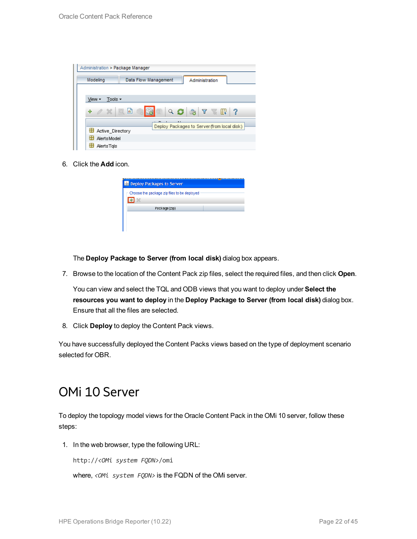| Administration > Package Manager |                                                           |  |
|----------------------------------|-----------------------------------------------------------|--|
| Modeling                         | Data Flow Management<br>Administration                    |  |
|                                  |                                                           |  |
| Tools $\sim$<br>View -           |                                                           |  |
| ÷<br>$\alpha \times \alpha$      | Ш<br>$\Rightarrow$<br>Q<br>$\cdot$ 3<br>$\mathbf{Y}$<br>Ш |  |
|                                  | Deploy Packages to Server (from local disk)               |  |
| Active Directory                 |                                                           |  |
| 뜵<br><b>AlertsModel</b>          |                                                           |  |
| AlertsTals                       |                                                           |  |

6. Click the **Add** icon.

| <b>B</b> Deploy Packages to Server          |  |
|---------------------------------------------|--|
| Choose the package zip files to be deployed |  |
| Package(zip)                                |  |
|                                             |  |

The **Deploy Package to Server (from local disk)** dialog box appears.

7. Browse to the location of the Content Pack zip files, select the required files, and then click **Open**.

You can view and select the TQL and ODB views that you want to deploy under **Select the resources you want to deploy** in the **Deploy Package to Server (from local disk)** dialog box. Ensure that all the files are selected.

8. Click **Deploy** to deploy the Content Pack views.

<span id="page-21-0"></span>You have successfully deployed the Content Packs views based on the type of deployment scenario selected for OBR.

### OMi 10 Server

To deploy the topology model views for the Oracle Content Pack in the OMi 10 server, follow these steps:

1. In the web browser, type the following URL:

http://*<OMi system FQDN>*/omi

where, *<OMi system FQDN>* is the FQDN of the OMi server.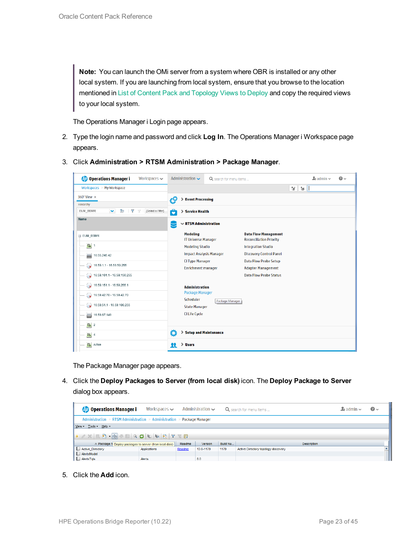**Note:** You can launch the OMi server from a system where OBR is installed or any other local system. If you are launching from local system, ensure that you browse to the location mentioned in List of Content Pack and [Topology](#page-19-1) Views to Deploy and copy the required views to your local system.

The Operations Manager i Login page appears.

- 2. Type the login name and password and click **Log In**. The Operations Manager i Workspace page appears.
- 3. Click **Administration > RTSM Administration > Package Manager**.

| <b>Operations Manager i</b><br>Workspaces $\smile$                        | Administration $\sim$<br>Q search for menu items       |                 |                                                               | $\Delta$ admin $\sim$ | $\Omega$ |
|---------------------------------------------------------------------------|--------------------------------------------------------|-----------------|---------------------------------------------------------------|-----------------------|----------|
| Workspaces > My Workspace                                                 |                                                        |                 |                                                               | $\mathbb{H}$<br>E     |          |
| 360° View x                                                               | <b>Event Processing</b><br>ł9                          |                 |                                                               |                       |          |
| Hierarchy                                                                 |                                                        |                 |                                                               |                       |          |
| Þ<br>EUM_BSMR<br>$\overline{\mathbf{Y}}$<br>[Select a Filter]<br>×.<br>7/ | Ô<br>> Service Health                                  |                 |                                                               |                       |          |
| Name                                                                      | $\sim$ RTSM Administration<br>$\overline{\phantom{0}}$ |                 |                                                               |                       |          |
| E EUM_BSMR                                                                | <b>Modeling</b><br><b>IT Universe Manager</b>          |                 | <b>Data Flow Management</b><br><b>Reconciliation Priority</b> |                       |          |
| $\bigcirc$ 1                                                              | <b>Modeling Studio</b>                                 |                 | <b>Integration Studio</b>                                     |                       |          |
| e<br>E<br>16.55.245.42                                                    | <b>Impact Analysis Manager</b>                         |                 | <b>Discovery Control Panel</b>                                |                       |          |
| $\bigotimes$ 16.59.1.1 - 16.59.50.255                                     | <b>CI Type Manager</b><br><b>Enrichment manager</b>    |                 | <b>Data Flow Probe Setup</b><br><b>Adapter Management</b>     |                       |          |
| $\rightarrow$ 16.59.101.1 - 16.59.150.255                                 |                                                        |                 | <b>Data Flow Probe Status</b>                                 |                       |          |
| $\bigcirc$ 16.59.151.1 - 16.59.255.1                                      | <b>Administration</b>                                  |                 |                                                               |                       |          |
| $\bigotimes$ 16.59.42.70 - 16.59.42.70                                    | Package Manager<br>Scheduler                           |                 |                                                               |                       |          |
| $\bigotimes$ 16.59.51.1 - 16.59.100.255                                   | <b>State Manager</b>                                   | Package Manager |                                                               |                       |          |
| 16.59.67.149<br>Ë                                                         | <b>CI Life Cycle</b>                                   |                 |                                                               |                       |          |
| $\left[ \bigcirc \right]$ 2                                               |                                                        |                 |                                                               |                       |          |
| $\bigcirc$ 4                                                              | Ö<br>> Setup and Maintenance                           |                 |                                                               |                       |          |
| $\sigma$<br>Active                                                        | > Users<br>22                                          |                 |                                                               |                       |          |

The Package Manager page appears.

4. Click the **Deploy Packages to Server (from local disk)** icon. The **Deploy Package to Server** dialog box appears.

| <b>Operations Manager i</b>                                             | Workspaces $\sim$ |        | Administration $\sim$ |          | Q search for menu items             | $\rightarrow$ admin $\sim$ | $\bullet$ |  |  |
|-------------------------------------------------------------------------|-------------------|--------|-----------------------|----------|-------------------------------------|----------------------------|-----------|--|--|
| Administration > RTSM Administration > Administration > Package Manager |                   |        |                       |          |                                     |                            |           |  |  |
| View - Tools - Help -                                                   |                   |        |                       |          |                                     |                            |           |  |  |
|                                                                         |                   |        |                       |          |                                     |                            |           |  |  |
| ≐ Package N Deploy packages to server (from local disk)                 |                   | Readme | Version               | Build Nu | <b>Description</b>                  |                            |           |  |  |
| Active_Directory                                                        | Applications      | Readme | 13.0-1179             | 1179     | Active Directory topology discovery |                            |           |  |  |
| AlertsModel                                                             |                   |        |                       |          |                                     |                            |           |  |  |
| AlertsTals                                                              | Alerts            |        | 8.0                   |          |                                     |                            |           |  |  |

5. Click the **Add** icon.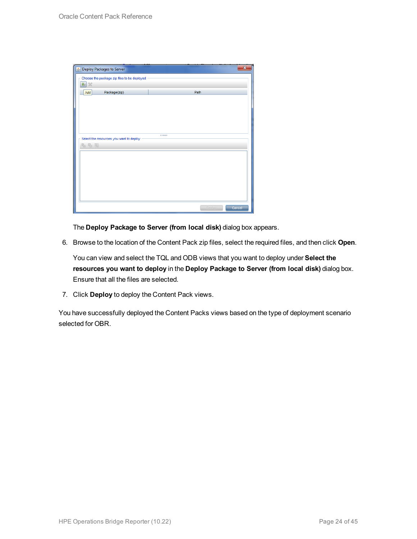| Deploy Packages to Server                         |        | $\mathbf x$ |
|---------------------------------------------------|--------|-------------|
| Choose the package zip files to be deployed<br>电》 |        |             |
| Package(zip)<br>Add                               | Path   |             |
|                                                   |        |             |
|                                                   |        |             |
|                                                   |        |             |
|                                                   |        |             |
|                                                   |        |             |
| Select the resources you want to deploy           |        |             |
| 名马路                                               |        |             |
|                                                   |        |             |
|                                                   |        |             |
|                                                   |        |             |
|                                                   |        |             |
|                                                   |        |             |
|                                                   |        |             |
|                                                   |        |             |
|                                                   | Deploy | Cancel      |

The **Deploy Package to Server (from local disk)** dialog box appears.

6. Browse to the location of the Content Pack zip files, select the required files, and then click **Open**.

You can view and select the TQL and ODB views that you want to deploy under **Select the resources you want to deploy** in the **Deploy Package to Server (from local disk)** dialog box. Ensure that all the files are selected.

7. Click **Deploy** to deploy the Content Pack views.

You have successfully deployed the Content Packs views based on the type of deployment scenario selected for OBR.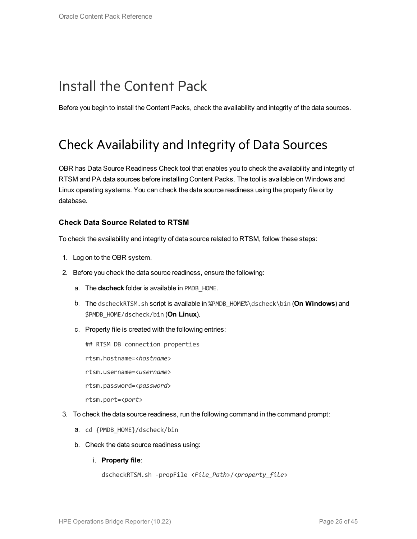## <span id="page-24-0"></span>Install the Content Pack

<span id="page-24-1"></span>Before you begin to install the Content Packs, check the availability and integrity of the data sources.

### Check Availability and Integrity of Data Sources

OBR has Data Source Readiness Check tool that enables you to check the availability and integrity of RTSM and PA data sources before installing Content Packs. The tool is available on Windows and Linux operating systems. You can check the data source readiness using the property file or by database.

#### **Check Data Source Related to RTSM**

To check the availability and integrity of data source related to RTSM, follow these steps:

- 1. Log on to the OBR system.
- 2. Before you check the data source readiness, ensure the following:
	- a. The **dscheck** folder is available in PMDB\_HOME.
	- b. The dscheckRTSM.sh script is available in %PMDB\_HOME%\dscheck\bin (**On Windows**) and \$PMDB\_HOME/dscheck/bin (**On Linux**).
	- c. Property file is created with the following entries:
		- ## RTSM DB connection properties
		- rtsm.hostname=<*hostname*>
		- rtsm.username=<*username*>
		- rtsm.password=<*password*>

rtsm.port=<*port*>

- 3. To check the data source readiness, run the following command in the command prompt:
	- a. cd {PMDB\_HOME}/dscheck/bin
	- b. Check the data source readiness using:
		- i. **Property file**:

```
dscheckRTSM.sh -propFile <File_Path>/<property_file>
```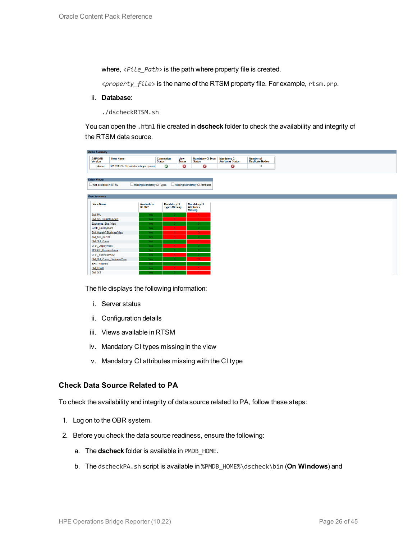where,  $\langle$ File Path> is the path where property file is created.

<*property\_file*> is the name of the RTSM property file. For example, rtsm.prp.

ii. **Database**:

./dscheckRTSM.sh

You can open the .html file created in **dscheck** folder to check the availability and integrity of the RTSM data source.

| <b>Status Summary</b>            |                                   |                     |                                             |                              |                                           |                                           |
|----------------------------------|-----------------------------------|---------------------|---------------------------------------------|------------------------------|-------------------------------------------|-------------------------------------------|
| <b>BSM/OMi</b><br><b>Version</b> | <b>Host Name</b>                  | <b>Status</b>       | Connection                                  | <b>View</b><br><b>Status</b> | <b>Mandatory CI Type</b><br><b>Status</b> | <b>Mandatory CI<br/>Attributes Status</b> |
| Unknown                          | IWFVM02277.hpswlabs.adapps.hp.com |                     | $\bullet$                                   | ☺                            | ☺                                         | 0                                         |
|                                  |                                   |                     |                                             |                              |                                           |                                           |
|                                  |                                   |                     |                                             |                              |                                           |                                           |
| <b>Select Views:</b>             |                                   |                     |                                             |                              |                                           |                                           |
| Not available in RTSM            | Missing Mandatory CI Types        |                     |                                             |                              | Missing Mandatory CI Attributes           |                                           |
|                                  |                                   |                     |                                             |                              |                                           |                                           |
| <b>View Summary</b>              |                                   |                     |                                             |                              |                                           |                                           |
|                                  |                                   |                     |                                             |                              |                                           |                                           |
| <b>View Name</b>                 | RTSM?                             | <b>Available in</b> | <b>Mandatory CI</b><br><b>Types Missing</b> |                              | <b>Mandatory CI</b><br><b>Attributes</b>  |                                           |
|                                  |                                   |                     |                                             |                              | <b>Missing</b>                            |                                           |
| SM PA                            |                                   | Yes.                |                                             |                              | $\mathbf{A}$                              |                                           |
| SM SiS BusinessView              |                                   | Yes:                |                                             |                              | $\blacktriangleleft$                      |                                           |
| Exchange Site View               |                                   | Yes.                |                                             |                              |                                           |                                           |
| J2EE_Deployment                  |                                   | Yes.                |                                             |                              |                                           |                                           |
| SM_HyperV_BusinessView           |                                   | Yes.                |                                             |                              | 3.                                        |                                           |
| SM_SiS_Server                    |                                   | Yes.                |                                             |                              |                                           |                                           |
| SM Sol Zones                     |                                   | Yes.                |                                             |                              |                                           |                                           |
| <b>ORA</b> Deployment            |                                   | Yes:                |                                             |                              |                                           |                                           |
| MSSQL BusinessView               |                                   | Yes.                |                                             |                              |                                           |                                           |
| ORA BusinessView                 |                                   | Yes:                |                                             |                              |                                           |                                           |
|                                  | SM_Sol_Zones_BusinessView         | Yes:                |                                             |                              | 12 <sup>°</sup>                           |                                           |
| <b>SHR_Network</b>               |                                   | Yes.                |                                             |                              |                                           |                                           |
| <b>SM_LPAR</b>                   |                                   | Yes:                |                                             |                              |                                           |                                           |
| SM SiS                           |                                   | Yes.                |                                             |                              |                                           |                                           |

The file displays the following information:

- i. Server status
- ii. Configuration details
- iii. Views available in RTSM
- iv. Mandatory CI types missing in the view
- v. Mandatory CI attributes missing with the CI type

#### **Check Data Source Related to PA**

To check the availability and integrity of data source related to PA, follow these steps:

- 1. Log on to the OBR system.
- 2. Before you check the data source readiness, ensure the following:
	- a. The **dscheck** folder is available in PMDB\_HOME.
	- b. The dscheckPA.sh script is available in %PMDB\_HOME%\dscheck\bin (**On Windows**) and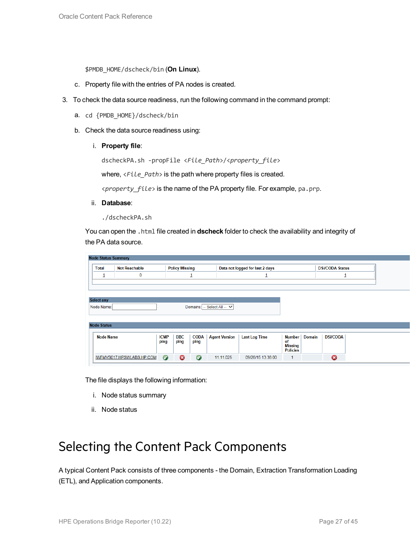\$PMDB\_HOME/dscheck/bin (**On Linux**).

- c. Property file with the entries of PA nodes is created.
- 3. To check the data source readiness, run the following command in the command prompt:
	- a. cd {PMDB\_HOME}/dscheck/bin
	- b. Check the data source readiness using:
		- i. **Property file**:

dscheckPA.sh -propFile <*File\_Path*>/<*property\_file*>

where,  $\langle$ File\_Path> is the path where property files is created.

<*property\_file*> is the name of the PA property file. For example, pa.prp.

- ii. **Database**:
	- ./dscheckPA.sh

You can open the .html file created in **dscheck** folder to check the availability and integrity of the PA data source.

| <b>Node Status Summary</b> |                           |             |                       |             |                             |                                 |                      |               |                        |  |
|----------------------------|---------------------------|-------------|-----------------------|-------------|-----------------------------|---------------------------------|----------------------|---------------|------------------------|--|
| <b>Total</b>               | <b>Not Reachable</b>      |             | <b>Policy Missing</b> |             |                             | Data not logged for last 2 days |                      |               | <b>DSi/CODA Status</b> |  |
| ┚                          | $\mathbf 0$               |             |                       | ┚           |                             |                                 |                      |               |                        |  |
|                            |                           |             |                       |             |                             |                                 |                      |               |                        |  |
|                            |                           |             |                       |             |                             |                                 |                      |               |                        |  |
| <b>Select any</b>          |                           |             |                       |             |                             |                                 |                      |               |                        |  |
| Node Name:                 |                           |             |                       |             | Domains: -- Select All -- V |                                 |                      |               |                        |  |
|                            |                           |             |                       |             |                             |                                 |                      |               |                        |  |
| <b>Node Status</b>         |                           |             |                       |             |                             |                                 |                      |               |                        |  |
|                            |                           |             |                       |             |                             |                                 |                      |               |                        |  |
| <b>Node Name</b>           |                           | <b>ICMP</b> | <b>BBC</b>            | <b>CODA</b> | <b>Agent Version</b>        | <b>Last Log Time</b>            | Number               | <b>Domain</b> | <b>DSi/CODA</b>        |  |
|                            |                           | ping        | ping                  | ping        |                             |                                 | of<br><b>Missing</b> |               |                        |  |
|                            |                           |             |                       |             |                             |                                 | <b>Policies</b>      |               |                        |  |
|                            | IWFMVS017.HPSWLABS.HP.COM | $\bullet$   | ణ                     | $\bullet$   | 11.11.025                   | 09/28/15 13:38:00               | 1                    |               | 0                      |  |

The file displays the following information:

- i. Node status summary
- ii. Node status

### <span id="page-26-0"></span>Selecting the Content Pack Components

A typical Content Pack consists of three components - the Domain, Extraction Transformation Loading (ETL), and Application components.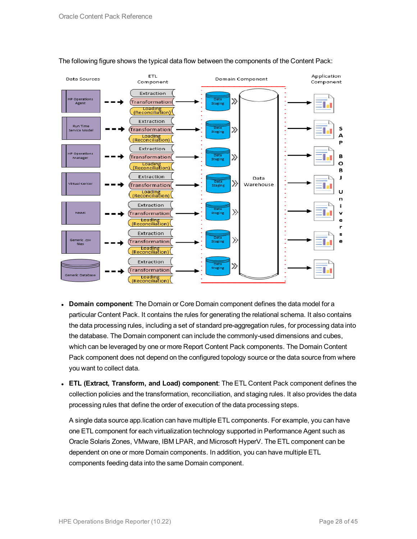

#### The following figure shows the typical data flow between the components of the Content Pack:

- **Domain component**: The Domain or Core Domain component defines the data model for a particular Content Pack. It contains the rules for generating the relational schema. It also contains the data processing rules, including a set of standard pre-aggregation rules, for processing data into the database. The Domain component can include the commonly-used dimensions and cubes, which can be leveraged by one or more Report Content Pack components. The Domain Content Pack component does not depend on the configured topology source or the data source from where you want to collect data.
- <sup>l</sup> **ETL (Extract, Transform, and Load) component**: The ETL Content Pack component defines the collection policies and the transformation, reconciliation, and staging rules. It also provides the data processing rules that define the order of execution of the data processing steps.

A single data source app.lication can have multiple ETL components. For example, you can have one ETL component for each virtualization technology supported in Performance Agent such as Oracle Solaris Zones, VMware, IBM LPAR, and Microsoft HyperV. The ETL component can be dependent on one or more Domain components. In addition, you can have multiple ETL components feeding data into the same Domain component.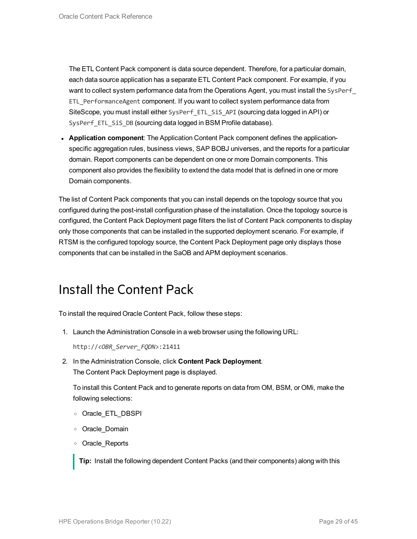The ETL Content Pack component is data source dependent. Therefore, for a particular domain, each data source application has a separate ETL Content Pack component. For example, if you want to collect system performance data from the Operations Agent, you must install the SysPerf ETL\_PerformanceAgent component. If you want to collect system performance data from SiteScope, you must install either SysPerf\_ETL\_SiS\_API (sourcing data logged in API) or SysPerf ETL SiS DB (sourcing data logged in BSM Profile database).

**• Application component**: The Application Content Pack component defines the applicationspecific aggregation rules, business views, SAP BOBJ universes, and the reports for a particular domain. Report components can be dependent on one or more Domain components. This component also provides the flexibility to extend the data model that is defined in one or more Domain components.

The list of Content Pack components that you can install depends on the topology source that you configured during the post-install configuration phase of the installation. Once the topology source is configured, the Content Pack Deployment page filters the list of Content Pack components to display only those components that can be installed in the supported deployment scenario. For example, if RTSM is the configured topology source, the Content Pack Deployment page only displays those components that can be installed in the SaOB and APM deployment scenarios.

## <span id="page-28-0"></span>Install the Content Pack

To install the required Oracle Content Pack, follow these steps:

1. Launch the Administration Console in a web browser using the following URL:

http://*<OBR\_Server\_FQDN>*:21411

2. In the Administration Console, click **Content Pack Deployment**. The Content Pack Deployment page is displayed.

To install this Content Pack and to generate reports on data from OM, BSM, or OMi, make the following selections:

- <sup>o</sup> Oracle\_ETL\_DBSPI
- <sup>o</sup> Oracle\_Domain
- <sup>o</sup> Oracle\_Reports

**Tip:** Install the following dependent Content Packs (and their components) along with this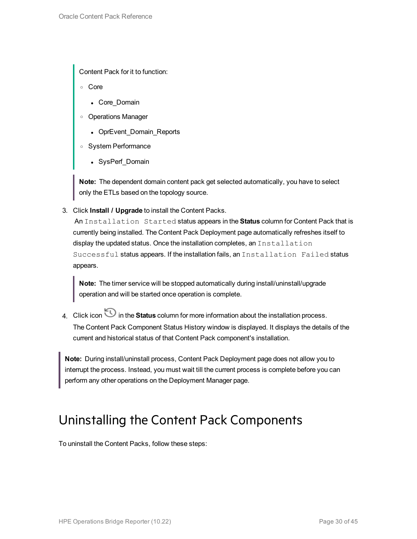Content Pack for it to function:

- <sup>o</sup> Core
	- Core\_Domain
- <sup>o</sup> Operations Manager
	- OprEvent\_Domain\_Reports
- <sup>o</sup> System Performance
	- SysPerf\_Domain

**Note:** The dependent domain content pack get selected automatically, you have to select only the ETLs based on the topology source.

3. Click **Install / Upgrade** to install the Content Packs.

An Installation Started status appears in the **Status** column for Content Pack that is currently being installed. The Content Pack Deployment page automatically refreshes itself to display the updated status. Once the installation completes, an Installation Successful status appears. If the installation fails, an Installation Failed status appears.

**Note:** The timer service will be stopped automatically during install/uninstall/upgrade operation and will be started once operation is complete.

4. Click icon in the **Status** column for more information about the installation process. The Content Pack Component Status History window is displayed. It displays the details of the current and historical status of that Content Pack component's installation.

**Note:** During install/uninstall process, Content Pack Deployment page does not allow you to interrupt the process. Instead, you must wait till the current process is complete before you can perform any other operations on the Deployment Manager page.

### <span id="page-29-0"></span>Uninstalling the Content Pack Components

To uninstall the Content Packs, follow these steps: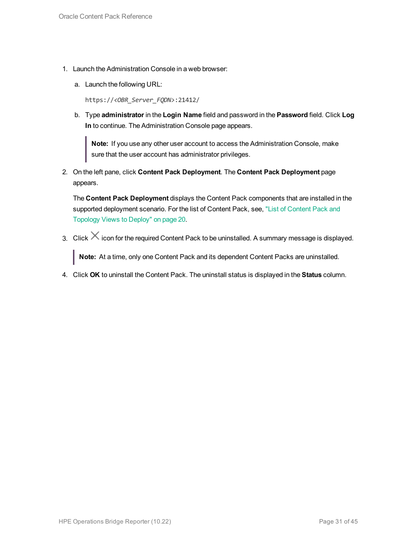- 1. Launch the Administration Console in a web browser:
	- a. Launch the following URL:

https://*<OBR\_Server\_FQDN>*:21412/

b. Type **administrator** in the **Login Name** field and password in the **Password** field. Click **Log In** to continue. The Administration Console page appears.

**Note:** If you use any other user account to access the Administration Console, make sure that the user account has administrator privileges.

2. On the left pane, click **Content Pack Deployment**. The **Content Pack Deployment** page appears.

The **Content Pack Deployment** displays the Content Pack components that are installed in the supported deployment scenario. For the list of [Content](#page-19-1) Pack, see, "List of Content Pack and [Topology](#page-19-1) Views to Deploy" on page 20.

3. Click  $\times$  icon for the required Content Pack to be uninstalled. A summary message is displayed.

**Note:** At a time, only one Content Pack and its dependent Content Packs are uninstalled.

4. Click **OK** to uninstall the Content Pack. The uninstall status is displayed in the **Status** column.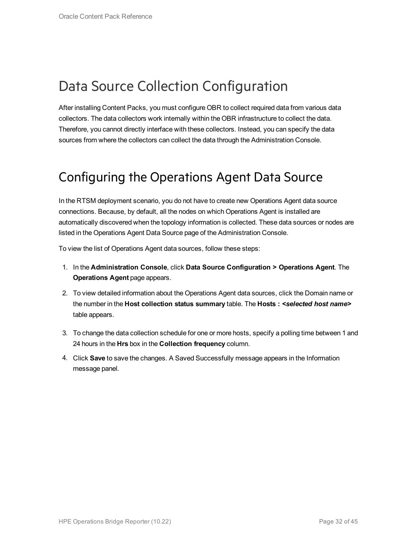## <span id="page-31-0"></span>Data Source Collection Configuration

After installing Content Packs, you must configure OBR to collect required data from various data collectors. The data collectors work internally within the OBR infrastructure to collect the data. Therefore, you cannot directly interface with these collectors. Instead, you can specify the data sources from where the collectors can collect the data through the Administration Console.

### <span id="page-31-1"></span>Configuring the Operations Agent Data Source

In the RTSM deployment scenario, you do not have to create new Operations Agent data source connections. Because, by default, all the nodes on which Operations Agent is installed are automatically discovered when the topology information is collected. These data sources or nodes are listed in the Operations Agent Data Source page of the Administration Console.

To view the list of Operations Agent data sources, follow these steps:

- 1. In the **Administration Console**, click **Data Source Configuration > Operations Agent**. The **Operations Agent** page appears.
- 2. To view detailed information about the Operations Agent data sources, click the Domain name or the number in the **Host collection status summary** table. The **Hosts :** *<selected host name>* table appears.
- 3. To change the data collection schedule for one or more hosts, specify a polling time between 1 and 24 hours in the **Hrs** box in the **Collection frequency** column.
- 4. Click **Save** to save the changes. A Saved Successfully message appears in the Information message panel.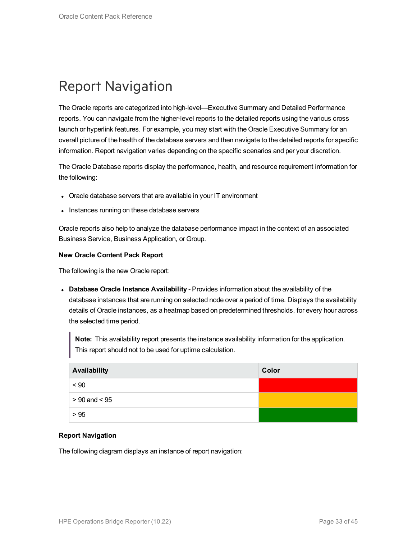## <span id="page-32-0"></span>Report Navigation

The Oracle reports are categorized into high-level—Executive Summary and Detailed Performance reports. You can navigate from the higher-level reports to the detailed reports using the various cross launch or hyperlink features. For example, you may start with the Oracle Executive Summary for an overall picture of the health of the database servers and then navigate to the detailed reports for specific information. Report navigation varies depending on the specific scenarios and per your discretion.

The Oracle Database reports display the performance, health, and resource requirement information for the following:

- Oracle database servers that are available in your IT environment
- Instances running on these database servers

Oracle reports also help to analyze the database performance impact in the context of an associated Business Service, Business Application, or Group.

#### **New Oracle Content Pack Report**

The following is the new Oracle report:

<sup>l</sup> **Database Oracle Instance Availability** - Provides information about the availability of the database instances that are running on selected node over a period of time. Displays the availability details of Oracle instances, as a heatmap based on predetermined thresholds, for every hour across the selected time period.

**Note:** This availability report presents the instance availability information for the application. This report should not to be used for uptime calculation.

| Availability      | Color |
|-------------------|-------|
| ~< 90             |       |
| $> 90$ and $< 95$ |       |
| > 95              |       |

#### **Report Navigation**

The following diagram displays an instance of report navigation: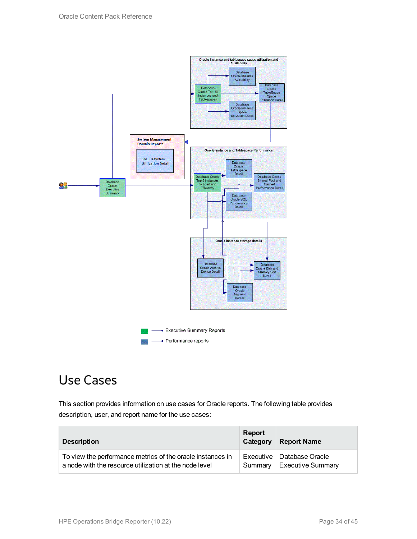

## <span id="page-33-0"></span>Use Cases

This section provides information on use cases for Oracle reports. The following table provides description, user, and report name for the use cases:

| <b>Description</b>                                                                                                   | <b>Report</b><br>Category | <b>Report Name</b>                                      |
|----------------------------------------------------------------------------------------------------------------------|---------------------------|---------------------------------------------------------|
| To view the performance metrics of the oracle instances in<br>a node with the resource utilization at the node level | Summarv                   | Executive   Database Oracle<br><b>Executive Summary</b> |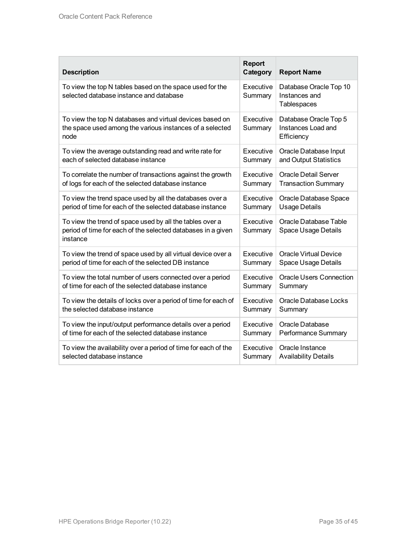| <b>Description</b>                                                                                                                   | <b>Report</b><br>Category | <b>Report Name</b>                                        |
|--------------------------------------------------------------------------------------------------------------------------------------|---------------------------|-----------------------------------------------------------|
| To view the top N tables based on the space used for the<br>selected database instance and database                                  | Executive<br>Summary      | Database Oracle Top 10<br>Instances and<br>Tablespaces    |
| To view the top N databases and virtual devices based on<br>the space used among the various instances of a selected<br>node         | Executive<br>Summary      | Database Oracle Top 5<br>Instances Load and<br>Efficiency |
| To view the average outstanding read and write rate for                                                                              | Executive                 | Oracle Database Input                                     |
| each of selected database instance                                                                                                   | Summary                   | and Output Statistics                                     |
| To correlate the number of transactions against the growth                                                                           | Executive                 | <b>Oracle Detail Server</b>                               |
| of logs for each of the selected database instance                                                                                   | Summary                   | <b>Transaction Summary</b>                                |
| To view the trend space used by all the databases over a                                                                             | Executive                 | Oracle Database Space                                     |
| period of time for each of the selected database instance                                                                            | Summary                   | <b>Usage Details</b>                                      |
| To view the trend of space used by all the tables over a<br>period of time for each of the selected databases in a given<br>instance | Executive<br>Summary      | Oracle Database Table<br><b>Space Usage Details</b>       |
| To view the trend of space used by all virtual device over a                                                                         | Executive                 | <b>Oracle Virtual Device</b>                              |
| period of time for each of the selected DB instance                                                                                  | Summary                   | <b>Space Usage Details</b>                                |
| To view the total number of users connected over a period                                                                            | Executive                 | <b>Oracle Users Connection</b>                            |
| of time for each of the selected database instance                                                                                   | Summary                   | Summary                                                   |
| To view the details of locks over a period of time for each of                                                                       | Executive                 | <b>Oracle Database Locks</b>                              |
| the selected database instance                                                                                                       | Summary                   | Summary                                                   |
| To view the input/output performance details over a period                                                                           | Executive                 | Oracle Database                                           |
| of time for each of the selected database instance                                                                                   | Summary                   | Performance Summary                                       |
| To view the availability over a period of time for each of the                                                                       | Executive                 | Oracle Instance                                           |
| selected database instance                                                                                                           | Summary                   | <b>Availability Details</b>                               |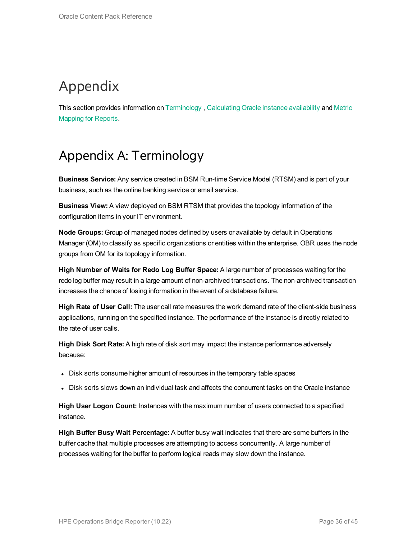# <span id="page-35-0"></span>Appendix

<span id="page-35-1"></span>This section provides information on [Terminology](#page-35-1) , [Calculating](#page-41-0) Oracle instance availability and [Metric](#page-42-0) [Mapping](#page-42-0) for Reports.

## Appendix A: Terminology

**Business Service:** Any service created in BSM Run-time Service Model (RTSM) and is part of your business, such as the online banking service or email service.

**Business View:** A view deployed on BSM RTSM that provides the topology information of the configuration items in your IT environment.

**Node Groups:** Group of managed nodes defined by users or available by default in Operations Manager (OM) to classify as specific organizations or entities within the enterprise. OBR uses the node groups from OM for its topology information.

**High Number of Waits for Redo Log Buffer Space:** A large number of processes waiting for the redo log buffer may result in a large amount of non-archived transactions. The non-archived transaction increases the chance of losing information in the event of a database failure.

**High Rate of User Call:** The user call rate measures the work demand rate of the client-side business applications, running on the specified instance. The performance of the instance is directly related to the rate of user calls.

**High Disk Sort Rate:** A high rate of disk sort may impact the instance performance adversely because:

- Disk sorts consume higher amount of resources in the temporary table spaces
- Disk sorts slows down an individual task and affects the concurrent tasks on the Oracle instance

**High User Logon Count:** Instances with the maximum number of users connected to a specified instance.

**High Buffer Busy Wait Percentage:** A buffer busy wait indicates that there are some buffers in the buffer cache that multiple processes are attempting to access concurrently. A large number of processes waiting for the buffer to perform logical reads may slow down the instance.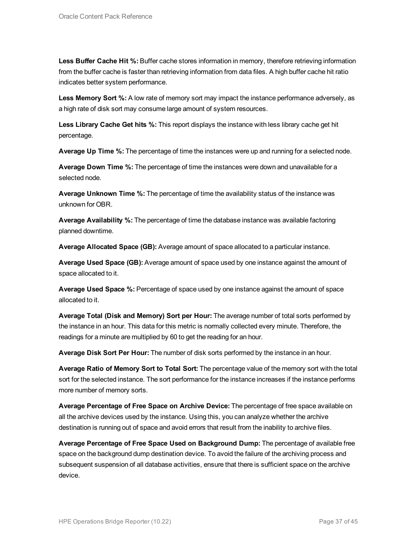**Less Buffer Cache Hit %:** Buffer cache stores information in memory, therefore retrieving information from the buffer cache is faster than retrieving information from data files. A high buffer cache hit ratio indicates better system performance.

**Less Memory Sort %:** A low rate of memory sort may impact the instance performance adversely, as a high rate of disk sort may consume large amount of system resources.

**Less Library Cache Get hits %:** This report displays the instance with less library cache get hit percentage.

**Average Up Time %:** The percentage of time the instances were up and running for a selected node.

**Average Down Time %:** The percentage of time the instances were down and unavailable for a selected node.

**Average Unknown Time %:** The percentage of time the availability status of the instance was unknown for OBR.

**Average Availability %:** The percentage of time the database instance was available factoring planned downtime.

**Average Allocated Space (GB):** Average amount of space allocated to a particular instance.

**Average Used Space (GB):** Average amount of space used by one instance against the amount of space allocated to it.

**Average Used Space %:** Percentage of space used by one instance against the amount of space allocated to it.

**Average Total (Disk and Memory) Sort per Hour:** The average number of total sorts performed by the instance in an hour. This data for this metric is normally collected every minute. Therefore, the readings for a minute are multiplied by 60 to get the reading for an hour.

**Average Disk Sort Per Hour:** The number of disk sorts performed by the instance in an hour.

**Average Ratio of Memory Sort to Total Sort:** The percentage value of the memory sort with the total sort for the selected instance. The sort performance for the instance increases if the instance performs more number of memory sorts.

**Average Percentage of Free Space on Archive Device:** The percentage of free space available on all the archive devices used by the instance. Using this, you can analyze whether the archive destination is running out of space and avoid errors that result from the inability to archive files.

**Average Percentage of Free Space Used on Background Dump:** The percentage of available free space on the background dump destination device. To avoid the failure of the archiving process and subsequent suspension of all database activities, ensure that there is sufficient space on the archive device.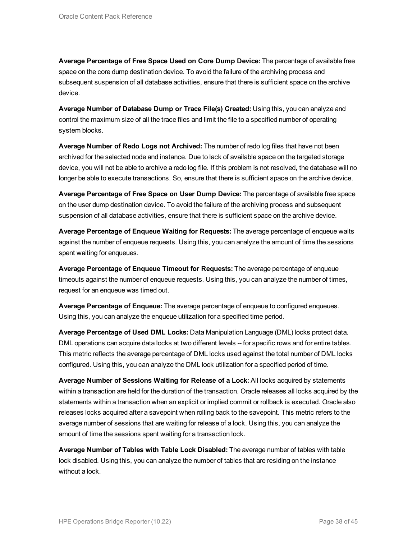**Average Percentage of Free Space Used on Core Dump Device:** The percentage of available free space on the core dump destination device. To avoid the failure of the archiving process and subsequent suspension of all database activities, ensure that there is sufficient space on the archive device.

**Average Number of Database Dump or Trace File(s) Created:** Using this, you can analyze and control the maximum size of all the trace files and limit the file to a specified number of operating system blocks.

**Average Number of Redo Logs not Archived:** The number of redo log files that have not been archived for the selected node and instance. Due to lack of available space on the targeted storage device, you will not be able to archive a redo log file. If this problem is not resolved, the database will no longer be able to execute transactions. So, ensure that there is sufficient space on the archive device.

**Average Percentage of Free Space on User Dump Device:** The percentage of available free space on the user dump destination device. To avoid the failure of the archiving process and subsequent suspension of all database activities, ensure that there is sufficient space on the archive device.

**Average Percentage of Enqueue Waiting for Requests:** The average percentage of enqueue waits against the number of enqueue requests. Using this, you can analyze the amount of time the sessions spent waiting for enqueues.

**Average Percentage of Enqueue Timeout for Requests:** The average percentage of enqueue timeouts against the number of enqueue requests. Using this, you can analyze the number of times, request for an enqueue was timed out.

**Average Percentage of Enqueue:** The average percentage of enqueue to configured enqueues. Using this, you can analyze the enqueue utilization for a specified time period.

**Average Percentage of Used DML Locks:** Data Manipulation Language (DML) locks protect data. DML operations can acquire data locks at two different levels -- for specific rows and for entire tables. This metric reflects the average percentage of DML locks used against the total number of DML locks configured. Using this, you can analyze the DML lock utilization for a specified period of time.

**Average Number of Sessions Waiting for Release of a Lock:** All locks acquired by statements within a transaction are held for the duration of the transaction. Oracle releases all locks acquired by the statements within a transaction when an explicit or implied commit or rollback is executed. Oracle also releases locks acquired after a savepoint when rolling back to the savepoint. This metric refers to the average number of sessions that are waiting for release of a lock. Using this, you can analyze the amount of time the sessions spent waiting for a transaction lock.

**Average Number of Tables with Table Lock Disabled:** The average number of tables with table lock disabled. Using this, you can analyze the number of tables that are residing on the instance without a lock.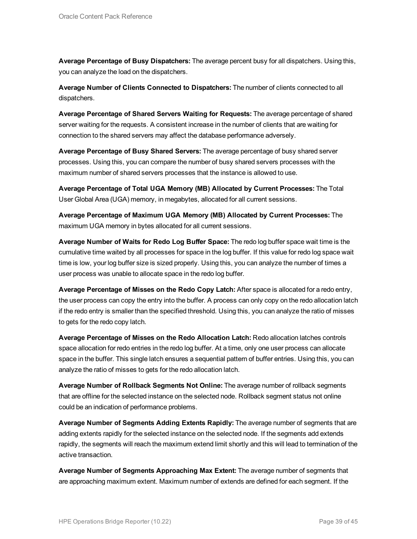**Average Percentage of Busy Dispatchers:** The average percent busy for all dispatchers. Using this, you can analyze the load on the dispatchers.

**Average Number of Clients Connected to Dispatchers:** The number of clients connected to all dispatchers.

**Average Percentage of Shared Servers Waiting for Requests:** The average percentage of shared server waiting for the requests. A consistent increase in the number of clients that are waiting for connection to the shared servers may affect the database performance adversely.

**Average Percentage of Busy Shared Servers:** The average percentage of busy shared server processes. Using this, you can compare the number of busy shared servers processes with the maximum number of shared servers processes that the instance is allowed to use.

**Average Percentage of Total UGA Memory (MB) Allocated by Current Processes:** The Total User Global Area (UGA) memory, in megabytes, allocated for all current sessions.

**Average Percentage of Maximum UGA Memory (MB) Allocated by Current Processes:** The maximum UGA memory in bytes allocated for all current sessions.

**Average Number of Waits for Redo Log Buffer Space:** The redo log buffer space wait time is the cumulative time waited by all processes for space in the log buffer. If this value for redo log space wait time is low, your log buffer size is sized properly. Using this, you can analyze the number of times a user process was unable to allocate space in the redo log buffer.

**Average Percentage of Misses on the Redo Copy Latch:** After space is allocated for a redo entry, the user process can copy the entry into the buffer. A process can only copy on the redo allocation latch if the redo entry is smaller than the specified threshold. Using this, you can analyze the ratio of misses to gets for the redo copy latch.

**Average Percentage of Misses on the Redo Allocation Latch:** Redo allocation latches controls space allocation for redo entries in the redo log buffer. At a time, only one user process can allocate space in the buffer. This single latch ensures a sequential pattern of buffer entries. Using this, you can analyze the ratio of misses to gets for the redo allocation latch.

**Average Number of Rollback Segments Not Online:** The average number of rollback segments that are offline for the selected instance on the selected node. Rollback segment status not online could be an indication of performance problems.

**Average Number of Segments Adding Extents Rapidly:** The average number of segments that are adding extents rapidly for the selected instance on the selected node. If the segments add extends rapidly, the segments will reach the maximum extend limit shortly and this will lead to termination of the active transaction.

**Average Number of Segments Approaching Max Extent:** The average number of segments that are approaching maximum extent. Maximum number of extends are defined for each segment. If the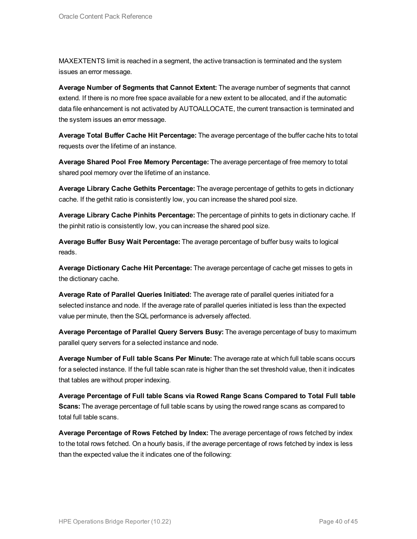MAXEXTENTS limit is reached in a segment, the active transaction is terminated and the system issues an error message.

**Average Number of Segments that Cannot Extent:** The average number of segments that cannot extend. If there is no more free space available for a new extent to be allocated, and if the automatic data file enhancement is not activated by AUTOALLOCATE, the current transaction is terminated and the system issues an error message.

**Average Total Buffer Cache Hit Percentage:** The average percentage of the buffer cache hits to total requests over the lifetime of an instance.

**Average Shared Pool Free Memory Percentage:** The average percentage of free memory to total shared pool memory over the lifetime of an instance.

**Average Library Cache Gethits Percentage:** The average percentage of gethits to gets in dictionary cache. If the gethit ratio is consistently low, you can increase the shared pool size.

**Average Library Cache Pinhits Percentage:** The percentage of pinhits to gets in dictionary cache. If the pinhit ratio is consistently low, you can increase the shared pool size.

**Average Buffer Busy Wait Percentage:** The average percentage of buffer busy waits to logical reads.

**Average Dictionary Cache Hit Percentage:** The average percentage of cache get misses to gets in the dictionary cache.

**Average Rate of Parallel Queries Initiated:** The average rate of parallel queries initiated for a selected instance and node. If the average rate of parallel queries initiated is less than the expected value per minute, then the SQL performance is adversely affected.

**Average Percentage of Parallel Query Servers Busy:** The average percentage of busy to maximum parallel query servers for a selected instance and node.

**Average Number of Full table Scans Per Minute:** The average rate at which full table scans occurs for a selected instance. If the full table scan rate is higher than the set threshold value, then it indicates that tables are without proper indexing.

**Average Percentage of Full table Scans via Rowed Range Scans Compared to Total Full table Scans:** The average percentage of full table scans by using the rowed range scans as compared to total full table scans.

**Average Percentage of Rows Fetched by Index:** The average percentage of rows fetched by index to the total rows fetched. On a hourly basis, if the average percentage of rows fetched by index is less than the expected value the it indicates one of the following: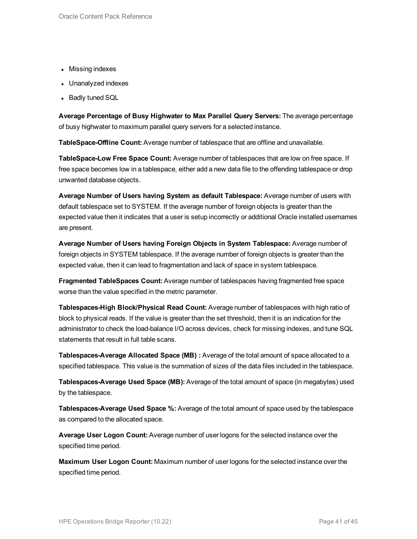- Missing indexes
- Unanalyzed indexes
- Badly tuned SQL

**Average Percentage of Busy Highwater to Max Parallel Query Servers:** The average percentage of busy highwater to maximum parallel query servers for a selected instance.

**TableSpace-Offline Count:** Average number of tablespace that are offline and unavailable.

**TableSpace-Low Free Space Count:** Average number of tablespaces that are low on free space. If free space becomes low in a tablespace, either add a new data file to the offending tablespace or drop unwanted database objects.

**Average Number of Users having System as default Tablespace:** Average number of users with default tablespace set to SYSTEM. If the average number of foreign objects is greater than the expected value then it indicates that a user is setup incorrectly or additional Oracle installed usernames are present.

**Average Number of Users having Foreign Objects in System Tablespace:** Average number of foreign objects in SYSTEM tablespace. If the average number of foreign objects is greater than the expected value, then it can lead to fragmentation and lack of space in system tablespace.

**Fragmented TableSpaces Count:** Average number of tablespaces having fragmented free space worse than the value specified in the metric parameter.

**Tablespaces-High Block/Physical Read Count:** Average number of tablespaces with high ratio of block to physical reads. If the value is greater than the set threshold, then it is an indication for the administrator to check the load-balance I/O across devices, check for missing indexes, and tune SQL statements that result in full table scans.

**Tablespaces-Average Allocated Space (MB) :** Average of the total amount of space allocated to a specified tablespace. This value is the summation of sizes of the data files included in the tablespace.

**Tablespaces-Average Used Space (MB):** Average of the total amount of space (in megabytes) used by the tablespace.

**Tablespaces-Average Used Space %:** Average of the total amount of space used by the tablespace as compared to the allocated space.

**Average User Logon Count:** Average number of user logons for the selected instance over the specified time period.

**Maximum User Logon Count:** Maximum number of user logons for the selected instance over the specified time period.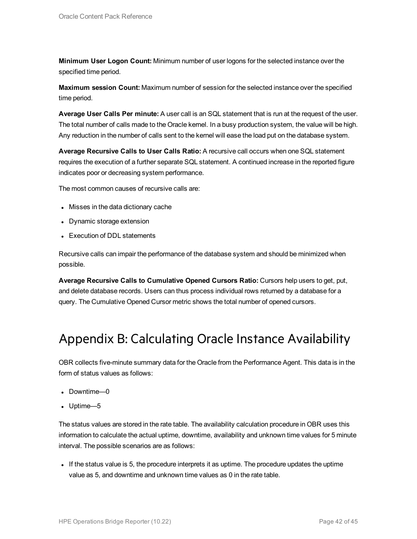**Minimum User Logon Count:** Minimum number of user logons for the selected instance over the specified time period.

**Maximum session Count:** Maximum number of session for the selected instance over the specified time period.

**Average User Calls Per minute:** A user call is an SQL statement that is run at the request of the user. The total number of calls made to the Oracle kernel. In a busy production system, the value will be high. Any reduction in the number of calls sent to the kernel will ease the load put on the database system.

**Average Recursive Calls to User Calls Ratio:** A recursive call occurs when one SQL statement requires the execution of a further separate SQL statement. A continued increase in the reported figure indicates poor or decreasing system performance.

The most common causes of recursive calls are:

- Misses in the data dictionary cache
- Dynamic storage extension
- Execution of DDL statements

Recursive calls can impair the performance of the database system and should be minimized when possible.

**Average Recursive Calls to Cumulative Opened Cursors Ratio:** Cursors help users to get, put, and delete database records. Users can thus process individual rows returned by a database for a query. The Cumulative Opened Cursor metric shows the total number of opened cursors.

### <span id="page-41-0"></span>Appendix B: Calculating Oracle Instance Availability

OBR collects five-minute summary data for the Oracle from the Performance Agent. This data is in the form of status values as follows:

- Downtime—0
- $\bullet$  Uptime—5

The status values are stored in the rate table. The availability calculation procedure in OBR uses this information to calculate the actual uptime, downtime, availability and unknown time values for 5 minute interval. The possible scenarios are as follows:

If the status value is 5, the procedure interprets it as uptime. The procedure updates the uptime value as 5, and downtime and unknown time values as 0 in the rate table.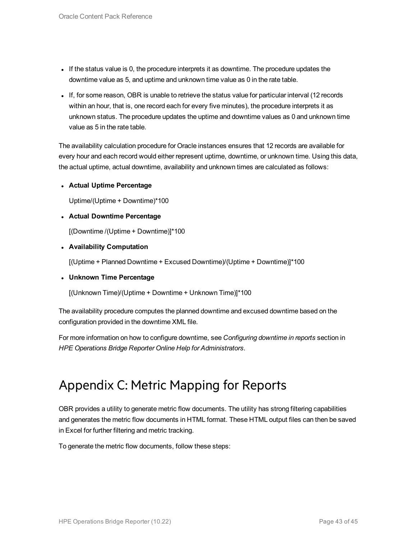- If the status value is 0, the procedure interprets it as downtime. The procedure updates the downtime value as 5, and uptime and unknown time value as 0 in the rate table.
- If, for some reason, OBR is unable to retrieve the status value for particular interval (12 records within an hour, that is, one record each for every five minutes), the procedure interprets it as unknown status. The procedure updates the uptime and downtime values as 0 and unknown time value as 5 in the rate table.

The availability calculation procedure for Oracle instances ensures that 12 records are available for every hour and each record would either represent uptime, downtime, or unknown time. Using this data, the actual uptime, actual downtime, availability and unknown times are calculated as follows:

<sup>l</sup> **Actual Uptime Percentage**

Uptime/(Uptime + Downtime)\*100

<sup>l</sup> **Actual Downtime Percentage**

[(Downtime /(Uptime + Downtime)]\*100

<sup>l</sup> **Availability Computation**

[(Uptime + Planned Downtime + Excused Downtime)/(Uptime + Downtime)]\*100

<sup>l</sup> **Unknown Time Percentage**

[(Unknown Time)/(Uptime + Downtime + Unknown Time)]\*100

The availability procedure computes the planned downtime and excused downtime based on the configuration provided in the downtime XML file.

<span id="page-42-0"></span>For more information on how to configure downtime, see *Configuring downtime in reports* section in *HPE Operations Bridge Reporter Online Help for Administrators*.

## Appendix C: Metric Mapping for Reports

OBR provides a utility to generate metric flow documents. The utility has strong filtering capabilities and generates the metric flow documents in HTML format. These HTML output files can then be saved in Excel for further filtering and metric tracking.

To generate the metric flow documents, follow these steps: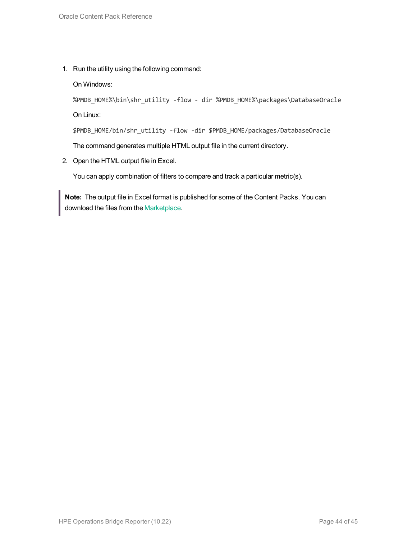1. Run the utility using the following command:

On Windows:

```
%PMDB_HOME%\bin\shr_utility -flow - dir %PMDB_HOME%\packages\DatabaseOracle
On Linux:
```
\$PMDB\_HOME/bin/shr\_utility -flow -dir \$PMDB\_HOME/packages/DatabaseOracle

The command generates multiple HTML output file in the current directory.

2. Open the HTML output file in Excel.

You can apply combination of filters to compare and track a particular metric(s).

**Note:** The output file in Excel format is published for some of the Content Packs. You can download the files from the [Marketplace.](https://hpln.hp.com/node/24267/attachment)